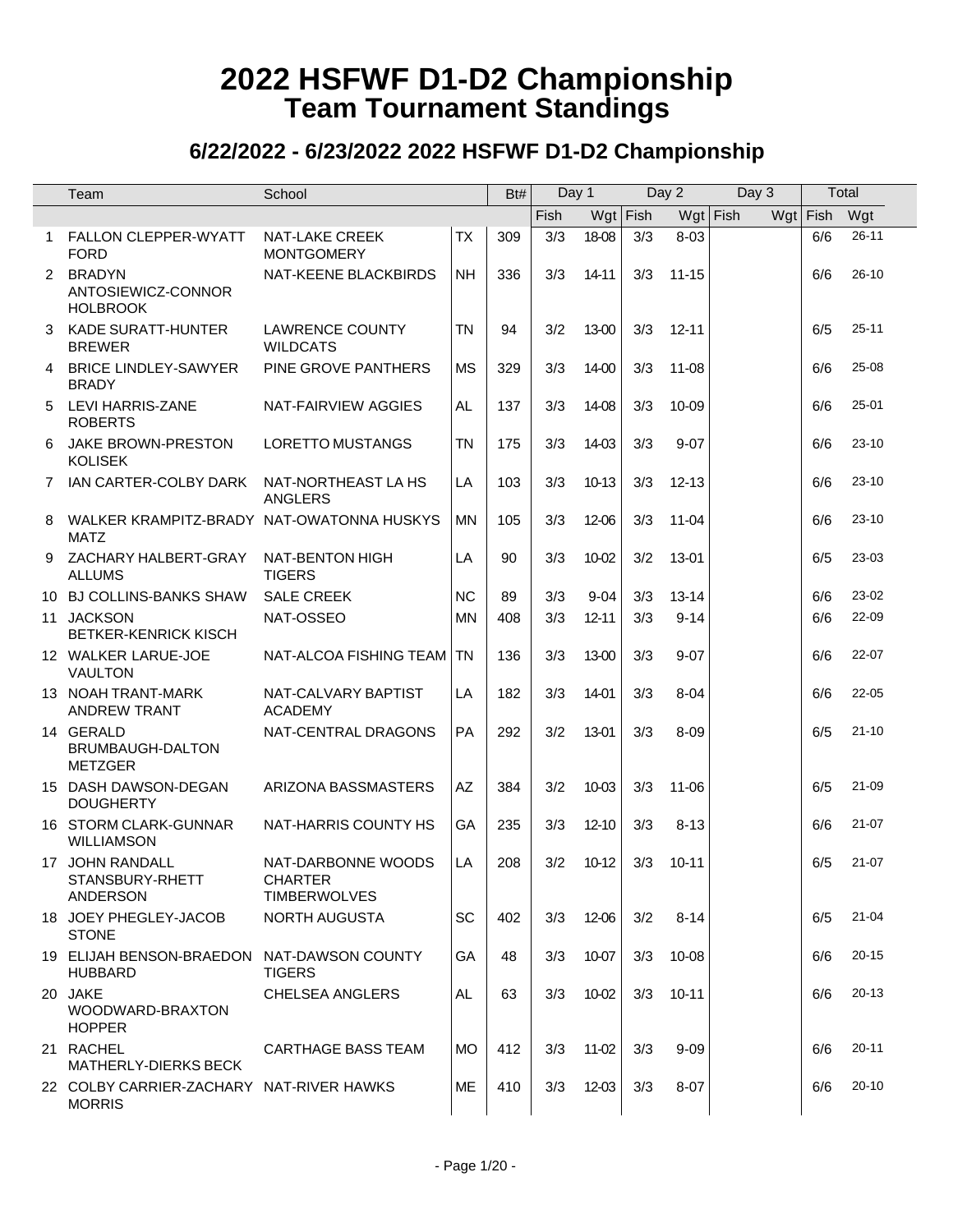|   | Team                                                      | School                                               |           | Bt# | Day 1 |           |          | Day 2     | Day 3             |      | Total     |
|---|-----------------------------------------------------------|------------------------------------------------------|-----------|-----|-------|-----------|----------|-----------|-------------------|------|-----------|
|   |                                                           |                                                      |           |     | Fish  | Wgt       | $ $ Fish |           | $Wgt$ Fish<br>Wgt | Fish | Wgt       |
| 1 | <b>FALLON CLEPPER-WYATT</b><br><b>FORD</b>                | <b>NAT-LAKE CREEK</b><br><b>MONTGOMERY</b>           | <b>TX</b> | 309 | 3/3   | 18-08     | 3/3      | $8 - 03$  |                   | 6/6  | $26 - 11$ |
|   | 2 BRADYN<br>ANTOSIEWICZ-CONNOR<br><b>HOLBROOK</b>         | NAT-KEENE BLACKBIRDS                                 | <b>NH</b> | 336 | 3/3   | 14-11     | 3/3      | $11 - 15$ |                   | 6/6  | $26 - 10$ |
| 3 | KADE SURATT-HUNTER<br><b>BREWER</b>                       | <b>LAWRENCE COUNTY</b><br><b>WILDCATS</b>            | <b>TN</b> | 94  | 3/2   | 13-00     | 3/3      | $12 - 11$ |                   | 6/5  | $25 - 11$ |
| 4 | <b>BRICE LINDLEY-SAWYER</b><br><b>BRADY</b>               | PINE GROVE PANTHERS                                  | <b>MS</b> | 329 | 3/3   | 14-00     | 3/3      | $11 - 08$ |                   | 6/6  | 25-08     |
| 5 | LEVI HARRIS-ZANE<br><b>ROBERTS</b>                        | NAT-FAIRVIEW AGGIES                                  | AL.       | 137 | 3/3   | 14-08     | 3/3      | 10-09     |                   | 6/6  | $25 - 01$ |
| 6 | JAKE BROWN-PRESTON<br><b>KOLISEK</b>                      | LORETTO MUSTANGS                                     | <b>TN</b> | 175 | 3/3   | 14-03     | 3/3      | $9 - 07$  |                   | 6/6  | $23 - 10$ |
| 7 | IAN CARTER-COLBY DARK                                     | NAT-NORTHEAST LA HS<br>ANGLERS                       | LA        | 103 | 3/3   | $10-13$   | 3/3      | $12 - 13$ |                   | 6/6  | $23 - 10$ |
| 8 | WALKER KRAMPITZ-BRADY NAT-OWATONNA HUSKYS<br><b>MATZ</b>  |                                                      | <b>MN</b> | 105 | 3/3   | 12-06     | 3/3      | $11 - 04$ |                   | 6/6  | $23 - 10$ |
| 9 | ZACHARY HALBERT-GRAY<br><b>ALLUMS</b>                     | NAT-BENTON HIGH<br><b>TIGERS</b>                     | LA        | 90  | 3/3   | 10-02     | 3/2      | 13-01     |                   | 6/5  | 23-03     |
|   | 10 BJ COLLINS-BANKS SHAW                                  | <b>SALE CREEK</b>                                    | <b>NC</b> | 89  | 3/3   | $9 - 04$  | 3/3      | 13-14     |                   | 6/6  | 23-02     |
|   | 11 JACKSON<br><b>BETKER-KENRICK KISCH</b>                 | NAT-OSSEO                                            | <b>MN</b> | 408 | 3/3   | $12 - 11$ | 3/3      | $9 - 14$  |                   | 6/6  | 22-09     |
|   | 12 WALKER LARUE-JOE<br><b>VAULTON</b>                     | NAT-ALCOA FISHING TEAM                               | <b>TN</b> | 136 | 3/3   | 13-00     | 3/3      | $9 - 07$  |                   | 6/6  | 22-07     |
|   | 13 NOAH TRANT-MARK<br><b>ANDREW TRANT</b>                 | NAT-CALVARY BAPTIST<br><b>ACADEMY</b>                | LA        | 182 | 3/3   | 14-01     | 3/3      | $8 - 04$  |                   | 6/6  | $22 - 05$ |
|   | 14 GERALD<br>BRUMBAUGH-DALTON<br><b>METZGER</b>           | NAT-CENTRAL DRAGONS                                  | PA        | 292 | 3/2   | 13-01     | 3/3      | $8 - 09$  |                   | 6/5  | $21 - 10$ |
|   | 15 DASH DAWSON-DEGAN<br><b>DOUGHERTY</b>                  | ARIZONA BASSMASTERS                                  | AZ        | 384 | 3/2   | 10-03     | 3/3      | $11 - 06$ |                   | 6/5  | 21-09     |
|   | 16 STORM CLARK-GUNNAR<br><b>WILLIAMSON</b>                | NAT-HARRIS COUNTY HS                                 | GA        | 235 | 3/3   | $12 - 10$ | 3/3      | $8 - 13$  |                   | 6/6  | $21 - 07$ |
|   | 17 JOHN RANDALL<br>STANSBURY-RHETT<br>ANDERSON            | NAT-DARBONNE WOODS<br>CHARTER<br><b>TIMBERWOLVES</b> | LA        | 208 | 3/2   | 10-12     | 3/3      | $10 - 11$ |                   | 6/5  | $21 - 07$ |
|   | 18 JOEY PHEGLEY-JACOB<br><b>STONE</b>                     | NORTH AUGUSTA                                        | SC        | 402 | 3/3   | 12-06     | 3/2      | $8 - 14$  |                   | 6/5  | $21 - 04$ |
|   | 19 ELIJAH BENSON-BRAEDON<br><b>HUBBARD</b>                | NAT-DAWSON COUNTY<br><b>TIGERS</b>                   | GA        | 48  | 3/3   | 10-07     | 3/3      | 10-08     |                   | 6/6  | $20 - 15$ |
|   | 20 JAKE<br>WOODWARD-BRAXTON<br><b>HOPPER</b>              | CHELSEA ANGLERS                                      | AL.       | 63  | 3/3   | 10-02     | 3/3      | $10 - 11$ |                   | 6/6  | $20 - 13$ |
|   | 21 RACHEL<br>MATHERLY-DIERKS BECK                         | <b>CARTHAGE BASS TEAM</b>                            | <b>MO</b> | 412 | 3/3   | 11-02     | 3/3      | $9 - 09$  |                   | 6/6  | $20 - 11$ |
|   | 22 COLBY CARRIER-ZACHARY NAT-RIVER HAWKS<br><b>MORRIS</b> |                                                      | ME        | 410 | 3/3   | 12-03     | 3/3      | $8 - 07$  |                   | 6/6  | $20 - 10$ |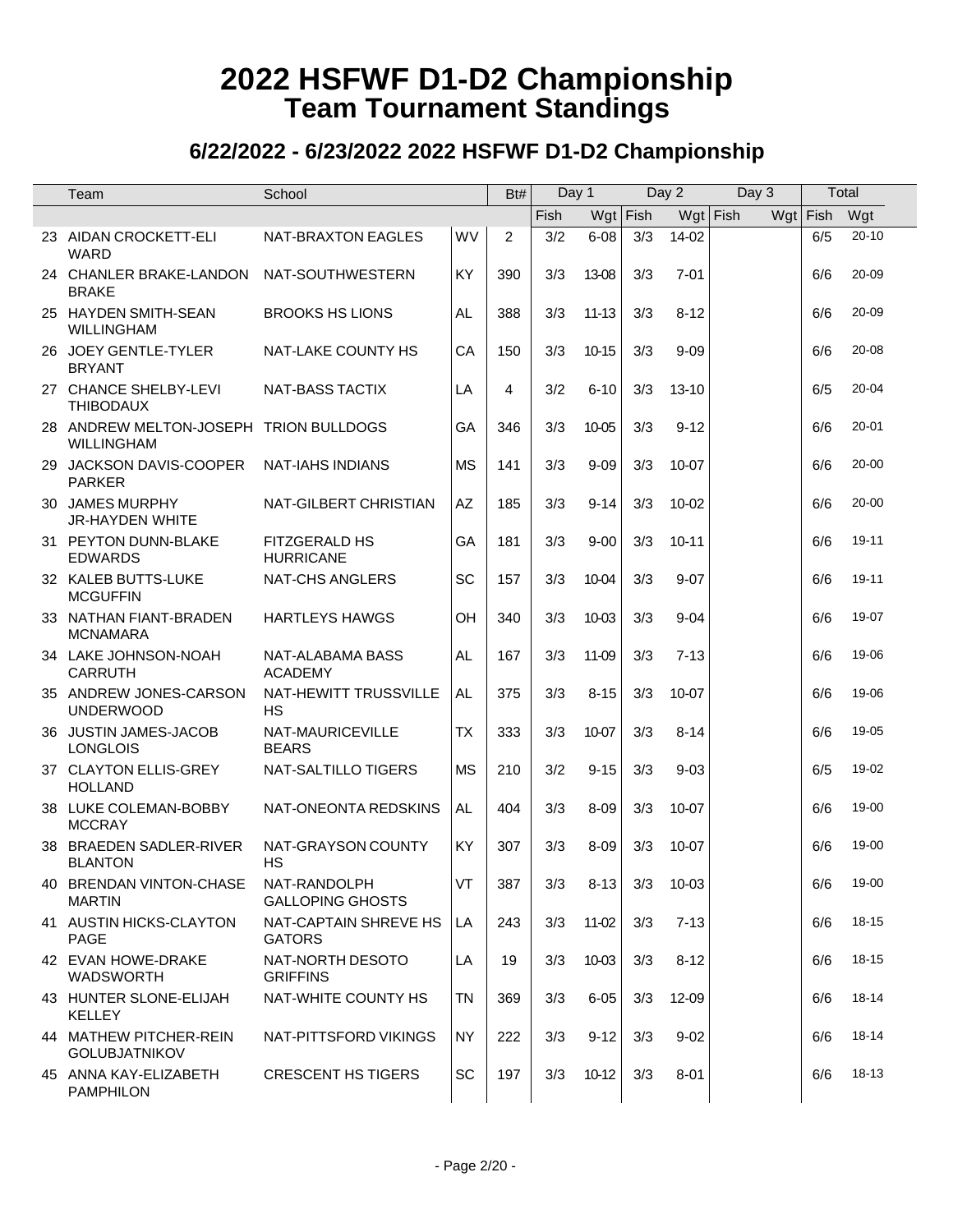|    | Team                                                        | School                                  |           | Bt#            |      | Day 1      |     | Day 2     | Day 3      |            | Total     |  |
|----|-------------------------------------------------------------|-----------------------------------------|-----------|----------------|------|------------|-----|-----------|------------|------------|-----------|--|
|    |                                                             |                                         |           |                | Fish | $Wgt$ Fish |     |           | $Wgt$ Fish | $Wgt$ Fish | Wgt       |  |
|    | 23 AIDAN CROCKETT-ELI<br>WARD                               | NAT-BRAXTON EAGLES                      | WV        | $\overline{2}$ | 3/2  | $6 - 08$   | 3/3 | 14-02     |            | 6/5        | $20 - 10$ |  |
|    | 24 CHANLER BRAKE-LANDON<br><b>BRAKE</b>                     | NAT-SOUTHWESTERN                        | KY        | 390            | 3/3  | 13-08      | 3/3 | $7 - 01$  |            | 6/6        | 20-09     |  |
|    | 25 HAYDEN SMITH-SEAN<br><b>WILLINGHAM</b>                   | <b>BROOKS HS LIONS</b>                  | AL.       | 388            | 3/3  | $11 - 13$  | 3/3 | $8 - 12$  |            | 6/6        | 20-09     |  |
|    | 26 JOEY GENTLE-TYLER<br><b>BRYANT</b>                       | NAT-LAKE COUNTY HS                      | CA        | 150            | 3/3  | $10 - 15$  | 3/3 | $9 - 09$  |            | 6/6        | 20-08     |  |
|    | 27 CHANCE SHELBY-LEVI<br><b>THIBODAUX</b>                   | <b>NAT-BASS TACTIX</b>                  | LA        | 4              | 3/2  | $6 - 10$   | 3/3 | 13-10     |            | 6/5        | 20-04     |  |
|    | 28 ANDREW MELTON-JOSEPH TRION BULLDOGS<br><b>WILLINGHAM</b> |                                         | GA        | 346            | 3/3  | 10-05      | 3/3 | $9 - 12$  |            | 6/6        | $20 - 01$ |  |
|    | 29 JACKSON DAVIS-COOPER<br><b>PARKER</b>                    | <b>NAT-IAHS INDIANS</b>                 | <b>MS</b> | 141            | 3/3  | $9 - 09$   | 3/3 | 10-07     |            | 6/6        | $20 - 00$ |  |
|    | 30 JAMES MURPHY<br><b>JR-HAYDEN WHITE</b>                   | NAT-GILBERT CHRISTIAN                   | AZ        | 185            | 3/3  | $9 - 14$   | 3/3 | 10-02     |            | 6/6        | 20-00     |  |
|    | 31 PEYTON DUNN-BLAKE<br><b>EDWARDS</b>                      | FITZGERALD HS<br><b>HURRICANE</b>       | GA        | 181            | 3/3  | $9 - 00$   | 3/3 | $10 - 11$ |            | 6/6        | 19-11     |  |
|    | 32 KALEB BUTTS-LUKE<br><b>MCGUFFIN</b>                      | <b>NAT-CHS ANGLERS</b>                  | SC        | 157            | 3/3  | 10-04      | 3/3 | $9 - 07$  |            | 6/6        | 19-11     |  |
|    | 33 NATHAN FIANT-BRADEN<br><b>MCNAMARA</b>                   | <b>HARTLEYS HAWGS</b>                   | OH        | 340            | 3/3  | 10-03      | 3/3 | $9 - 04$  |            | 6/6        | 19-07     |  |
|    | 34 LAKE JOHNSON-NOAH<br><b>CARRUTH</b>                      | NAT-ALABAMA BASS<br><b>ACADEMY</b>      | <b>AL</b> | 167            | 3/3  | 11-09      | 3/3 | $7 - 13$  |            | 6/6        | 19-06     |  |
|    | 35 ANDREW JONES-CARSON<br><b>UNDERWOOD</b>                  | NAT-HEWITT TRUSSVILLE<br><b>HS</b>      | <b>AL</b> | 375            | 3/3  | $8 - 15$   | 3/3 | 10-07     |            | 6/6        | 19-06     |  |
|    | 36 JUSTIN JAMES-JACOB<br><b>LONGLOIS</b>                    | NAT-MAURICEVILLE<br><b>BEARS</b>        | <b>TX</b> | 333            | 3/3  | 10-07      | 3/3 | $8 - 14$  |            | 6/6        | 19-05     |  |
|    | 37 CLAYTON ELLIS-GREY<br><b>HOLLAND</b>                     | NAT-SALTILLO TIGERS                     | <b>MS</b> | 210            | 3/2  | $9 - 15$   | 3/3 | $9 - 03$  |            | 6/5        | 19-02     |  |
|    | 38 LUKE COLEMAN-BOBBY<br><b>MCCRAY</b>                      | NAT-ONEONTA REDSKINS                    | <b>AL</b> | 404            | 3/3  | $8 - 09$   | 3/3 | 10-07     |            | 6/6        | 19-00     |  |
| 38 | <b>BRAEDEN SADLER-RIVER</b><br><b>BLANTON</b>               | NAT-GRAYSON COUNTY<br>HS                | <b>KY</b> | 307            | 3/3  | $8 - 09$   | 3/3 | 10-07     |            | 6/6        | 19-00     |  |
|    | 40 BRENDAN VINTON-CHASE<br><b>MARTIN</b>                    | NAT-RANDOLPH<br><b>GALLOPING GHOSTS</b> | VT        | 387            | 3/3  | $8 - 13$   | 3/3 | $10 - 03$ |            | 6/6        | 19-00     |  |
|    | 41 AUSTIN HICKS-CLAYTON<br><b>PAGE</b>                      | NAT-CAPTAIN SHREVE HS<br><b>GATORS</b>  | LA        | 243            | 3/3  | 11-02      | 3/3 | $7 - 13$  |            | 6/6        | 18-15     |  |
|    | 42 EVAN HOWE-DRAKE<br><b>WADSWORTH</b>                      | NAT-NORTH DESOTO<br><b>GRIFFINS</b>     | LA        | 19             | 3/3  | 10-03      | 3/3 | $8 - 12$  |            | 6/6        | 18-15     |  |
|    | 43 HUNTER SLONE-ELIJAH<br><b>KELLEY</b>                     | NAT-WHITE COUNTY HS                     | <b>TN</b> | 369            | 3/3  | $6 - 05$   | 3/3 | 12-09     |            | 6/6        | 18-14     |  |
|    | 44 MATHEW PITCHER-REIN<br><b>GOLUBJATNIKOV</b>              | NAT-PITTSFORD VIKINGS                   | <b>NY</b> | 222            | 3/3  | $9-12$     | 3/3 | $9 - 02$  |            | 6/6        | 18-14     |  |
|    | 45 ANNA KAY-ELIZABETH<br><b>PAMPHILON</b>                   | <b>CRESCENT HS TIGERS</b>               | SC        | 197            | 3/3  | $10-12$    | 3/3 | $8 - 01$  |            | 6/6        | 18-13     |  |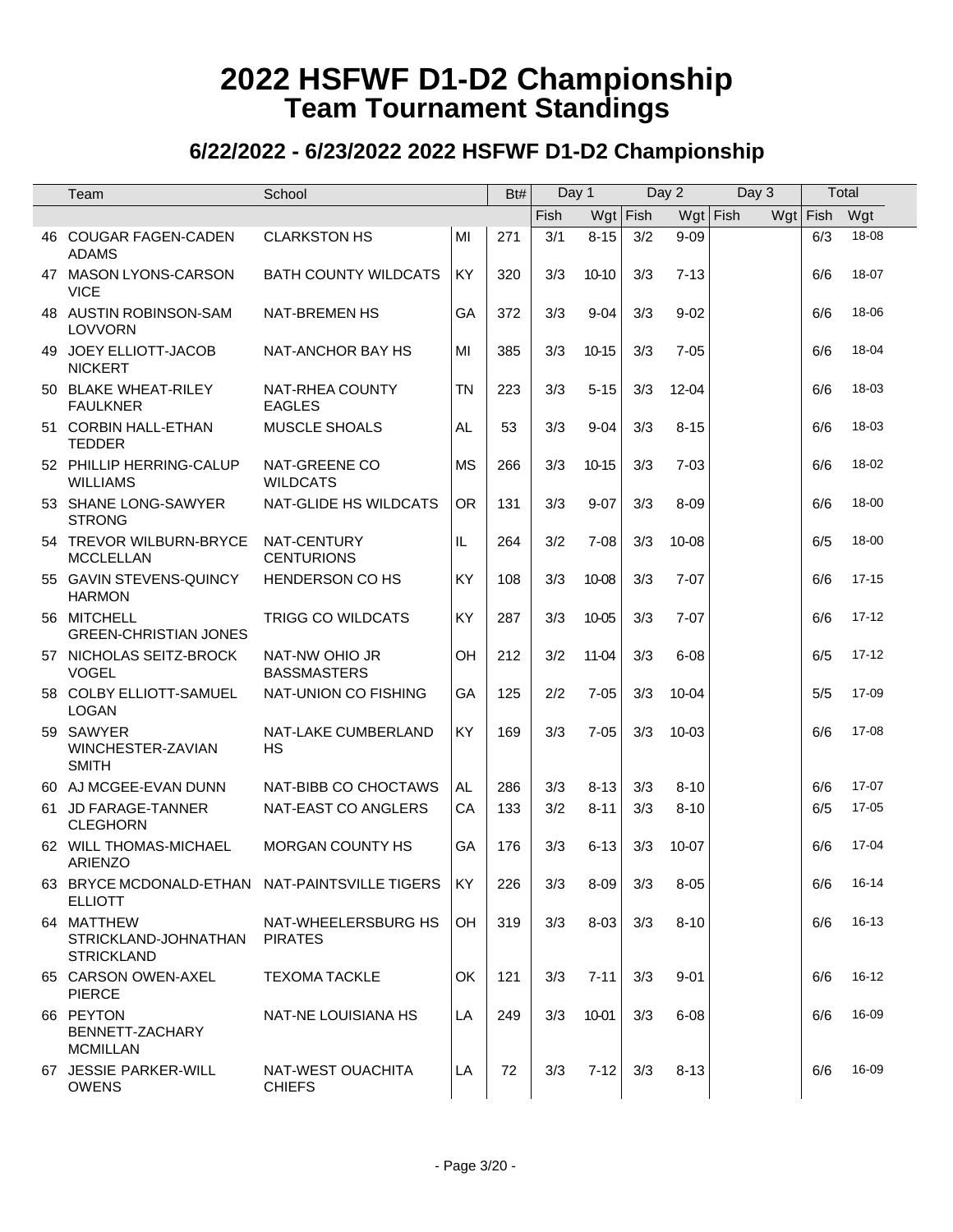|    | Team                                                             | School                                |           | Bt# | Day 1       |           |            | Day 2      | Day 3 | Total    |           |
|----|------------------------------------------------------------------|---------------------------------------|-----------|-----|-------------|-----------|------------|------------|-------|----------|-----------|
|    |                                                                  |                                       |           |     | <b>Fish</b> |           | $Wgt$ Fish | $Wgt$ Fish |       | Wgt Fish | Wgt       |
|    | 46 COUGAR FAGEN-CADEN<br><b>ADAMS</b>                            | <b>CLARKSTON HS</b>                   | MI        | 271 | 3/1         | $8 - 15$  | 3/2        | $9 - 09$   |       | 6/3      | 18-08     |
|    | 47 MASON LYONS-CARSON<br><b>VICE</b>                             | <b>BATH COUNTY WILDCATS</b>           | KY        | 320 | 3/3         | $10 - 10$ | 3/3        | $7 - 13$   |       | 6/6      | 18-07     |
|    | 48 AUSTIN ROBINSON-SAM<br><b>LOVVORN</b>                         | <b>NAT-BREMEN HS</b>                  | GA        | 372 | 3/3         | $9 - 04$  | 3/3        | $9 - 02$   |       | 6/6      | 18-06     |
| 49 | JOEY ELLIOTT-JACOB<br><b>NICKERT</b>                             | NAT-ANCHOR BAY HS                     | MI        | 385 | 3/3         | 10-15     | 3/3        | $7 - 05$   |       | 6/6      | 18-04     |
|    | 50 BLAKE WHEAT-RILEY<br><b>FAULKNER</b>                          | NAT-RHEA COUNTY<br><b>EAGLES</b>      | <b>TN</b> | 223 | 3/3         | $5 - 15$  | 3/3        | 12-04      |       | 6/6      | 18-03     |
|    | 51 CORBIN HALL-ETHAN<br><b>TEDDER</b>                            | MUSCLE SHOALS                         | AL.       | 53  | 3/3         | $9 - 04$  | 3/3        | $8 - 15$   |       | 6/6      | 18-03     |
|    | 52 PHILLIP HERRING-CALUP<br><b>WILLIAMS</b>                      | NAT-GREENE CO<br><b>WILDCATS</b>      | <b>MS</b> | 266 | 3/3         | 10-15     | 3/3        | $7 - 03$   |       | 6/6      | 18-02     |
|    | 53 SHANE LONG-SAWYER<br><b>STRONG</b>                            | NAT-GLIDE HS WILDCATS                 | <b>OR</b> | 131 | 3/3         | $9 - 07$  | 3/3        | $8 - 09$   |       | 6/6      | 18-00     |
|    | 54 TREVOR WILBURN-BRYCE<br><b>MCCLELLAN</b>                      | NAT-CENTURY<br><b>CENTURIONS</b>      | IL        | 264 | 3/2         | $7 - 08$  | 3/3        | 10-08      |       | 6/5      | 18-00     |
|    | 55 GAVIN STEVENS-QUINCY<br><b>HARMON</b>                         | <b>HENDERSON CO HS</b>                | <b>KY</b> | 108 | 3/3         | 10-08     | 3/3        | $7 - 07$   |       | 6/6      | $17 - 15$ |
|    | 56 MITCHELL<br><b>GREEN-CHRISTIAN JONES</b>                      | TRIGG CO WILDCATS                     | KY        | 287 | 3/3         | 10-05     | 3/3        | $7 - 07$   |       | 6/6      | $17 - 12$ |
|    | 57 NICHOLAS SEITZ-BROCK<br><b>VOGEL</b>                          | NAT-NW OHIO JR<br><b>BASSMASTERS</b>  | OH        | 212 | 3/2         | 11-04     | 3/3        | $6 - 08$   |       | 6/5      | $17 - 12$ |
|    | 58 COLBY ELLIOTT-SAMUEL<br><b>LOGAN</b>                          | NAT-UNION CO FISHING                  | GA        | 125 | 2/2         | $7 - 05$  | 3/3        | $10 - 04$  |       | 5/5      | 17-09     |
|    | 59 SAWYER<br>WINCHESTER-ZAVIAN<br><b>SMITH</b>                   | NAT-LAKE CUMBERLAND<br><b>HS</b>      | <b>KY</b> | 169 | 3/3         | $7 - 05$  | 3/3        | $10 - 03$  |       | 6/6      | 17-08     |
|    | 60 AJ MCGEE-EVAN DUNN                                            | NAT-BIBB CO CHOCTAWS                  | AL        | 286 | 3/3         | $8 - 13$  | 3/3        | $8 - 10$   |       | 6/6      | 17-07     |
|    | 61 JD FARAGE-TANNER<br><b>CLEGHORN</b>                           | NAT-EAST CO ANGLERS                   | CA        | 133 | 3/2         | $8 - 11$  | 3/3        | $8 - 10$   |       | 6/5      | 17-05     |
|    | 62 WILL THOMAS-MICHAEL<br><b>ARIENZO</b>                         | <b>MORGAN COUNTY HS</b>               | GA        | 176 | 3/3         | $6 - 13$  | 3/3        | 10-07      |       | 6/6      | 17-04     |
|    | 63 BRYCE MCDONALD-ETHAN NAT-PAINTSVILLE TIGERS<br><b>ELLIOTT</b> |                                       | KY        | 226 | 3/3         | $8 - 09$  | 3/3        | $8 - 05$   |       | 6/6      | 16-14     |
|    | 64 MATTHEW<br>STRICKLAND-JOHNATHAN<br><b>STRICKLAND</b>          | NAT-WHEELERSBURG HS<br><b>PIRATES</b> | <b>OH</b> | 319 | 3/3         | $8 - 03$  | 3/3        | $8 - 10$   |       | 6/6      | 16-13     |
|    | 65 CARSON OWEN-AXEL<br><b>PIERCE</b>                             | <b>TEXOMA TACKLE</b>                  | OK        | 121 | 3/3         | $7 - 11$  | 3/3        | $9 - 01$   |       | 6/6      | 16-12     |
|    | 66 PEYTON<br>BENNETT-ZACHARY<br><b>MCMILLAN</b>                  | NAT-NE LOUISIANA HS                   | LA        | 249 | 3/3         | 10-01     | 3/3        | $6 - 08$   |       | 6/6      | 16-09     |
|    | 67 JESSIE PARKER-WILL<br><b>OWENS</b>                            | NAT-WEST OUACHITA<br><b>CHIEFS</b>    | LA        | 72  | 3/3         | $7 - 12$  | 3/3        | $8 - 13$   |       | 6/6      | 16-09     |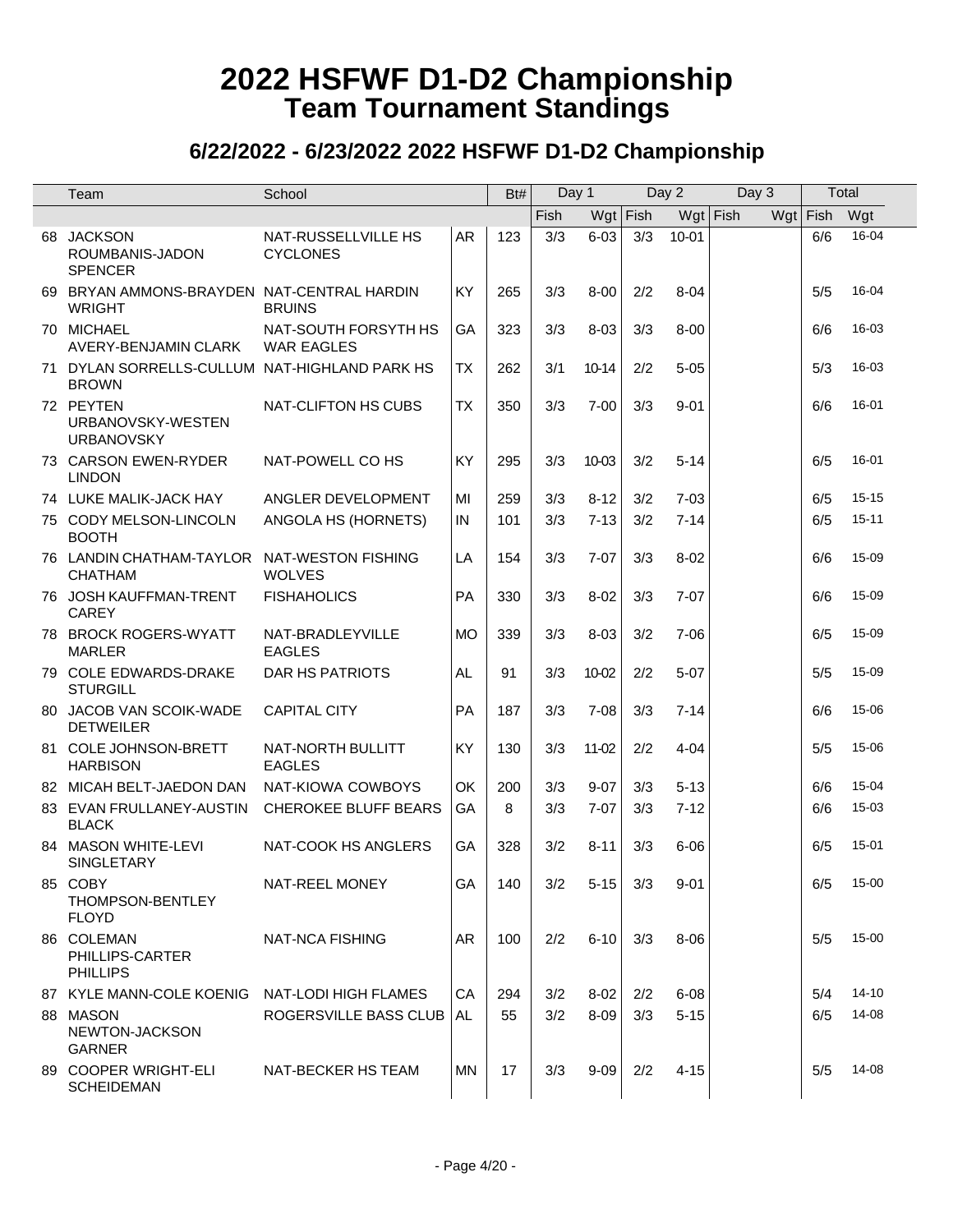| Team                                                          | School                                    |           | Bt# | Day 1 |          |            | Day 2      | Day 3 |            | Total     |
|---------------------------------------------------------------|-------------------------------------------|-----------|-----|-------|----------|------------|------------|-------|------------|-----------|
|                                                               |                                           |           |     | Fish  |          | $Wgt$ Fish | $Wgt$ Fish |       | $Wgt$ Fish | Wgt       |
| 68 JACKSON<br>ROUMBANIS-JADON<br><b>SPENCER</b>               | NAT-RUSSELLVILLE HS<br><b>CYCLONES</b>    | AR        | 123 | 3/3   | $6 - 03$ | 3/3        | $10 - 01$  |       | 6/6        | 16-04     |
| 69 BRYAN AMMONS-BRAYDEN NAT-CENTRAL HARDIN<br>WRIGHT          | <b>BRUINS</b>                             | <b>KY</b> | 265 | 3/3   | $8 - 00$ | 2/2        | $8 - 04$   |       | 5/5        | 16-04     |
| 70 MICHAEL<br>AVERY-BENJAMIN CLARK                            | NAT-SOUTH FORSYTH HS<br><b>WAR EAGLES</b> | GA        | 323 | 3/3   | $8 - 03$ | 3/3        | $8 - 00$   |       | 6/6        | 16-03     |
| 71 DYLAN SORRELLS-CULLUM NAT-HIGHLAND PARK HS<br><b>BROWN</b> |                                           | <b>TX</b> | 262 | 3/1   | $10-14$  | 2/2        | $5 - 05$   |       | 5/3        | 16-03     |
| 72 PEYTEN<br>URBANOVSKY-WESTEN<br><b>URBANOVSKY</b>           | NAT-CLIFTON HS CUBS                       | <b>TX</b> | 350 | 3/3   | $7 - 00$ | 3/3        | $9 - 01$   |       | 6/6        | 16-01     |
| 73 CARSON EWEN-RYDER<br><b>LINDON</b>                         | NAT-POWELL CO HS                          | KY        | 295 | 3/3   | 10-03    | 3/2        | $5 - 14$   |       | 6/5        | 16-01     |
| 74 LUKE MALIK-JACK HAY                                        | ANGLER DEVELOPMENT                        | MI        | 259 | 3/3   | $8 - 12$ | 3/2        | $7 - 03$   |       | 6/5        | $15 - 15$ |
| 75 CODY MELSON-LINCOLN<br><b>BOOTH</b>                        | ANGOLA HS (HORNETS)                       | IN        | 101 | 3/3   | $7 - 13$ | 3/2        | $7 - 14$   |       | 6/5        | $15 - 11$ |
| 76 LANDIN CHATHAM-TAYLOR NAT-WESTON FISHING<br><b>CHATHAM</b> | <b>WOLVES</b>                             | LA        | 154 | 3/3   | $7 - 07$ | 3/3        | $8 - 02$   |       | 6/6        | 15-09     |
| 76 JOSH KAUFFMAN-TRENT<br>CAREY                               | <b>FISHAHOLICS</b>                        | PA        | 330 | 3/3   | $8 - 02$ | 3/3        | $7 - 07$   |       | 6/6        | 15-09     |
| 78 BROCK ROGERS-WYATT<br><b>MARLER</b>                        | NAT-BRADLEYVILLE<br><b>EAGLES</b>         | <b>MO</b> | 339 | 3/3   | $8 - 03$ | 3/2        | $7 - 06$   |       | 6/5        | 15-09     |
| 79 COLE EDWARDS-DRAKE<br><b>STURGILL</b>                      | DAR HS PATRIOTS                           | AL.       | 91  | 3/3   | 10-02    | 2/2        | $5 - 07$   |       | 5/5        | 15-09     |
| 80 JACOB VAN SCOIK-WADE<br><b>DETWEILER</b>                   | <b>CAPITAL CITY</b>                       | PA        | 187 | 3/3   | $7 - 08$ | 3/3        | $7 - 14$   |       | 6/6        | 15-06     |
| 81 COLE JOHNSON-BRETT<br><b>HARBISON</b>                      | NAT-NORTH BULLITT<br><b>EAGLES</b>        | KY        | 130 | 3/3   | 11-02    | 2/2        | $4 - 04$   |       | 5/5        | 15-06     |
| 82 MICAH BELT-JAEDON DAN                                      | NAT-KIOWA COWBOYS                         | OK        | 200 | 3/3   | $9 - 07$ | 3/3        | $5 - 13$   |       | 6/6        | 15-04     |
| 83 EVAN FRULLANEY-AUSTIN<br><b>BLACK</b>                      | <b>CHEROKEE BLUFF BEARS</b>               | GA        | 8   | 3/3   | $7 - 07$ | 3/3        | $7 - 12$   |       | 6/6        | 15-03     |
| 84 MASON WHITE-LEVI<br><b>SINGLETARY</b>                      | NAT-COOK HS ANGLERS                       | GA        | 328 | 3/2   | $8 - 11$ | 3/3        | $6 - 06$   |       | 6/5        | 15-01     |
| 85 COBY<br>THOMPSON-BENTLEY<br><b>FLOYD</b>                   | NAT-REEL MONEY                            | GA        | 140 | 3/2   | $5 - 15$ | 3/3        | 9-01       |       | 6/5        | 15-00     |
| 86 COLEMAN<br>PHILLIPS-CARTER<br><b>PHILLIPS</b>              | NAT-NCA FISHING                           | AR.       | 100 | 2/2   | $6 - 10$ | 3/3        | 8-06       |       | 5/5        | $15 - 00$ |
| 87 KYLE MANN-COLE KOENIG                                      | NAT-LODI HIGH FLAMES                      | CA        | 294 | 3/2   | $8 - 02$ | 2/2        | $6 - 08$   |       | 5/4        | 14-10     |
| 88 MASON<br>NEWTON-JACKSON<br><b>GARNER</b>                   | ROGERSVILLE BASS CLUB                     | AL        | 55  | 3/2   | $8 - 09$ | 3/3        | $5 - 15$   |       | 6/5        | 14-08     |
| 89 COOPER WRIGHT-ELI<br><b>SCHEIDEMAN</b>                     | NAT-BECKER HS TEAM                        | ΜN        | 17  | 3/3   | $9 - 09$ | 2/2        | $4 - 15$   |       | 5/5        | 14-08     |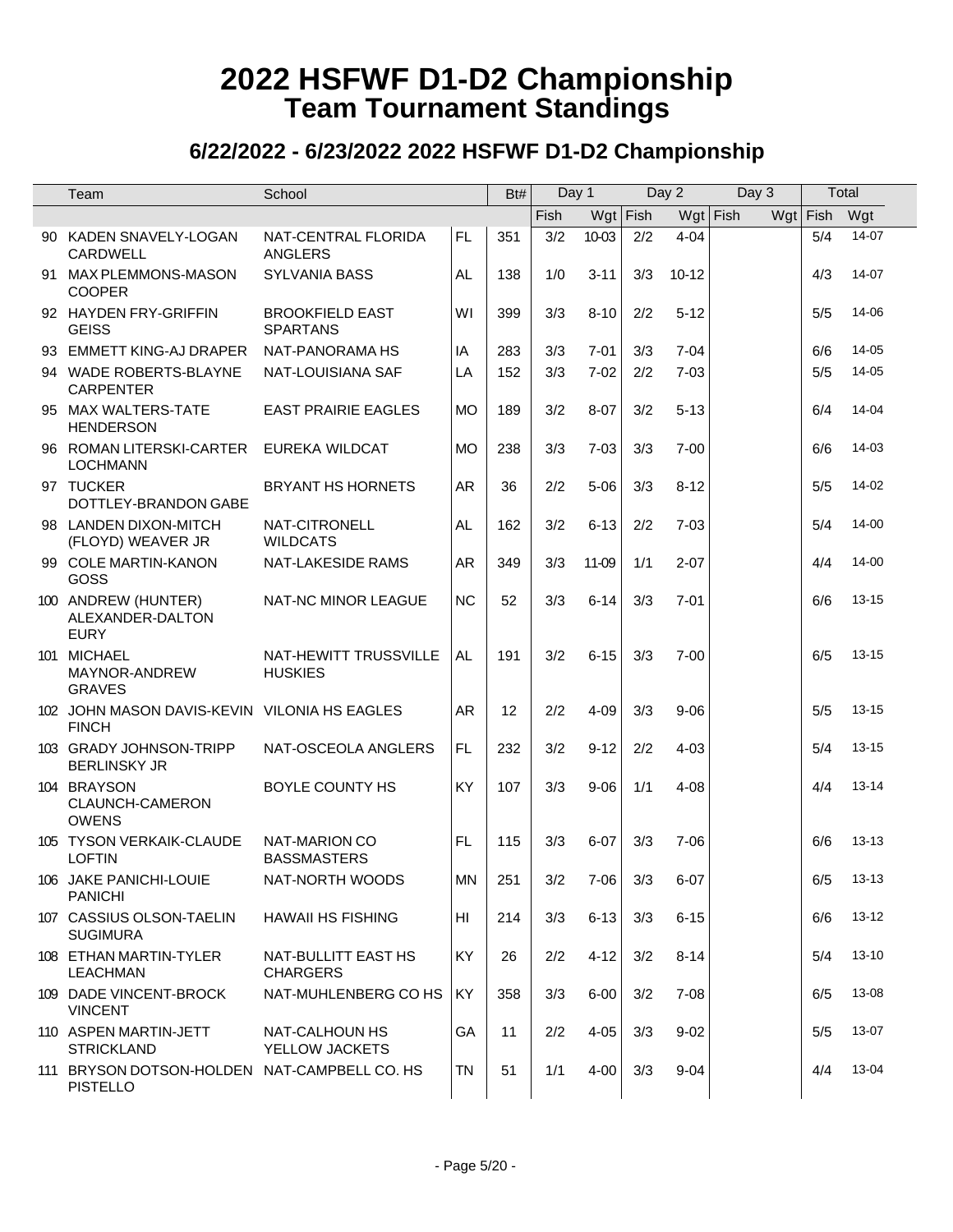| Team                                                            | School                                     |           | Bt# | Day 1 |            |            | Day 2      | Day 3 | Total    |             |
|-----------------------------------------------------------------|--------------------------------------------|-----------|-----|-------|------------|------------|------------|-------|----------|-------------|
|                                                                 |                                            |           |     | Fish  |            | $Wgt$ Fish | $Wgt$ Fish |       | Wgt Fish | Wgt         |
| 90 KADEN SNAVELY-LOGAN<br>CARDWELL                              | NAT-CENTRAL FLORIDA<br><b>ANGLERS</b>      | FL.       | 351 | 3/2   | 10-03      | 2/2        | $4 - 04$   |       | 5/4      | $14-07$     |
| 91 MAX PLEMMONS-MASON<br><b>COOPER</b>                          | <b>SYLVANIA BASS</b>                       | AL.       | 138 | 1/0   | $3 - 11$   | 3/3        | $10 - 12$  |       | 4/3      | 14-07       |
| 92 HAYDEN FRY-GRIFFIN<br><b>GEISS</b>                           | <b>BROOKFIELD EAST</b><br><b>SPARTANS</b>  | WI        | 399 | 3/3   | $8 - 10$   | 2/2        | $5 - 12$   |       | 5/5      | 14-06       |
| 93 EMMETT KING-AJ DRAPER                                        | NAT-PANORAMA HS                            | IA        | 283 | 3/3   | $7 - 01$   | 3/3        | $7 - 04$   |       | 6/6      | 14-05       |
| 94 WADE ROBERTS-BLAYNE<br><b>CARPENTER</b>                      | NAT-LOUISIANA SAF                          | LA        | 152 | 3/3   | $7 - 02$   | 2/2        | $7 - 03$   |       | 5/5      | 14-05       |
| 95 MAX WALTERS-TATE<br><b>HENDERSON</b>                         | <b>EAST PRAIRIE EAGLES</b>                 | <b>MO</b> | 189 | 3/2   | $8 - 07$   | 3/2        | $5 - 13$   |       | 6/4      | 14-04       |
| 96 ROMAN LITERSKI-CARTER<br><b>LOCHMANN</b>                     | EUREKA WILDCAT                             | <b>MO</b> | 238 | 3/3   | $7 - 03$   | 3/3        | $7 - 00$   |       | 6/6      | 14-03       |
| 97 TUCKER<br>DOTTLEY-BRANDON GABE                               | <b>BRYANT HS HORNETS</b>                   | <b>AR</b> | 36  | 2/2   | $5 - 06$   | 3/3        | $8 - 12$   |       | 5/5      | 14-02       |
| 98 LANDEN DIXON-MITCH<br>(FLOYD) WEAVER JR                      | NAT-CITRONELL<br><b>WILDCATS</b>           | AL.       | 162 | 3/2   | $6 - 13$   | 2/2        | $7 - 03$   |       | 5/4      | 14-00       |
| 99 COLE MARTIN-KANON<br>GOSS                                    | NAT-LAKESIDE RAMS                          | <b>AR</b> | 349 | 3/3   | 11-09      | 1/1        | $2 - 07$   |       | 4/4      | 14-00       |
| 100 ANDREW (HUNTER)<br>ALEXANDER-DALTON<br><b>EURY</b>          | NAT-NC MINOR LEAGUE                        | <b>NC</b> | 52  | 3/3   | $6 - 14$   | 3/3        | $7 - 01$   |       | 6/6      | $13 - 15$   |
| 101 MICHAEL<br>MAYNOR-ANDREW<br><b>GRAVES</b>                   | NAT-HEWITT TRUSSVILLE<br><b>HUSKIES</b>    | AL.       | 191 | 3/2   | $6 - 15$   | 3/3        | $7 - 00$   |       | 6/5      | $13 - 15$   |
| 102 JOHN MASON DAVIS-KEVIN VILONIA HS EAGLES<br><b>FINCH</b>    |                                            | <b>AR</b> | 12  | 2/2   | $4 - 09$   | 3/3        | $9 - 06$   |       | 5/5      | $13 - 15$   |
| 103 GRADY JOHNSON-TRIPP<br><b>BERLINSKY JR</b>                  | NAT-OSCEOLA ANGLERS                        | FL.       | 232 | 3/2   | $9 - 12$   | 2/2        | $4 - 03$   |       | 5/4      | $13 - 15$   |
| 104 BRAYSON<br>CLAUNCH-CAMERON<br><b>OWENS</b>                  | BOYLE COUNTY HS                            | KY        | 107 | 3/3   | $9 - 06$   | 1/1        | $4 - 08$   |       | 4/4      | 13-14       |
| 105 TYSON VERKAIK-CLAUDE<br><b>LOFTIN</b>                       | <b>NAT-MARION CO</b><br><b>BASSMASTERS</b> | <b>FL</b> | 115 | 3/3   | $6 - 07$   | 3/3        | $7 - 06$   |       | 6/6      | $13 - 13$   |
| 106 JAKE PANICHI-LOUIE<br><b>PANICHI</b>                        | NAT-NORTH WOODS                            | <b>MN</b> | 251 |       | $3/2$ 7-06 |            | $3/3$ 6-07 |       |          | $6/5$ 13-13 |
| 107 CASSIUS OLSON-TAELIN<br><b>SUGIMURA</b>                     | HAWAII HS FISHING                          | HI        | 214 | 3/3   | $6 - 13$   | 3/3        | $6 - 15$   |       | 6/6      | 13-12       |
| 108 ETHAN MARTIN-TYLER<br>LEACHMAN                              | NAT-BULLITT EAST HS<br><b>CHARGERS</b>     | KY        | 26  | 2/2   | $4 - 12$   | 3/2        | $8 - 14$   |       | 5/4      | $13 - 10$   |
| 109 DADE VINCENT-BROCK<br><b>VINCENT</b>                        | NAT-MUHLENBERG CO HS                       | KY        | 358 | 3/3   | $6 - 00$   | 3/2        | $7 - 08$   |       | 6/5      | 13-08       |
| 110 ASPEN MARTIN-JETT<br><b>STRICKLAND</b>                      | NAT-CALHOUN HS<br>YELLOW JACKETS           | GA        | 11  | 2/2   | $4 - 05$   | 3/3        | $9 - 02$   |       | 5/5      | 13-07       |
| 111 BRYSON DOTSON-HOLDEN NAT-CAMPBELL CO. HS<br><b>PISTELLO</b> |                                            | <b>TN</b> | 51  | 1/1   | $4 - 00$   | 3/3        | $9 - 04$   |       | 4/4      | 13-04       |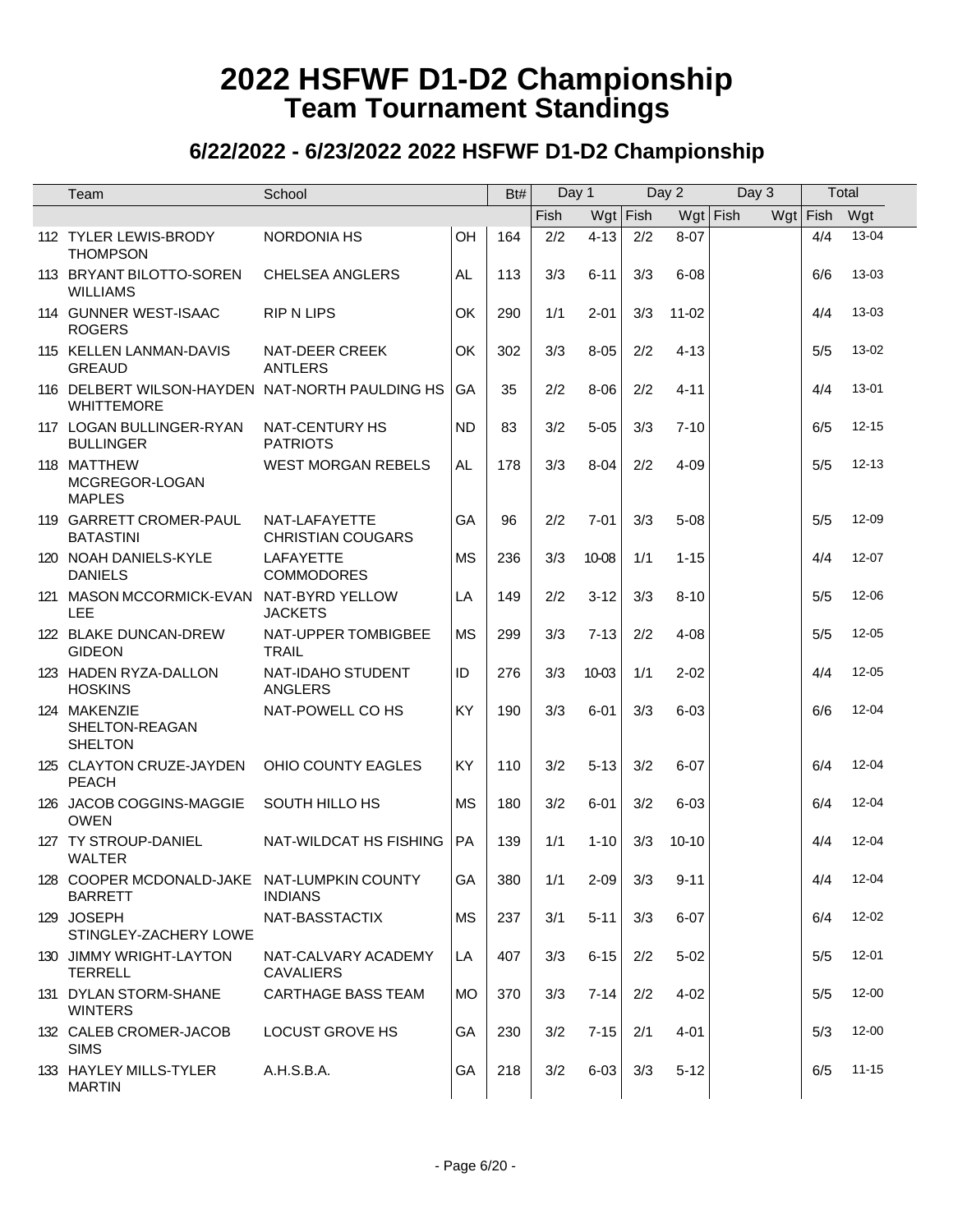| Team                                                                 | School                                    |           | Bt# | Day 1 |            |     | Day 2      | Day 3 |          | Total     |
|----------------------------------------------------------------------|-------------------------------------------|-----------|-----|-------|------------|-----|------------|-------|----------|-----------|
|                                                                      |                                           |           |     | Fish  | $Wgt$ Fish |     | $Wgt$ Fish |       | Wgt Fish | Wgt       |
| 112 TYLER LEWIS-BRODY<br><b>THOMPSON</b>                             | <b>NORDONIA HS</b>                        | OH        | 164 | 2/2   | $4 - 13$   | 2/2 | $8 - 07$   |       | 4/4      | 13-04     |
| 113 BRYANT BILOTTO-SOREN<br><b>WILLIAMS</b>                          | <b>CHELSEA ANGLERS</b>                    | AL        | 113 | 3/3   | $6 - 11$   | 3/3 | $6 - 08$   |       | 6/6      | $13 - 03$ |
| 114 GUNNER WEST-ISAAC<br><b>ROGERS</b>                               | <b>RIP N LIPS</b>                         | OK        | 290 | 1/1   | $2 - 01$   | 3/3 | $11 - 02$  |       | 4/4      | 13-03     |
| 115 KELLEN LANMAN-DAVIS<br><b>GREAUD</b>                             | NAT-DEER CREEK<br><b>ANTLERS</b>          | OK        | 302 | 3/3   | $8 - 05$   | 2/2 | $4 - 13$   |       | 5/5      | 13-02     |
| 116 DELBERT WILSON-HAYDEN NAT-NORTH PAULDING HS<br><b>WHITTEMORE</b> |                                           | GA        | 35  | 2/2   | $8 - 06$   | 2/2 | $4 - 11$   |       | 4/4      | 13-01     |
| 117 LOGAN BULLINGER-RYAN<br><b>BULLINGER</b>                         | NAT-CENTURY HS<br><b>PATRIOTS</b>         | <b>ND</b> | 83  | 3/2   | $5 - 05$   | 3/3 | $7 - 10$   |       | 6/5      | $12 - 15$ |
| 118 MATTHEW<br>MCGREGOR-LOGAN<br><b>MAPLES</b>                       | <b>WEST MORGAN REBELS</b>                 | AL.       | 178 | 3/3   | $8 - 04$   | 2/2 | $4 - 09$   |       | 5/5      | $12 - 13$ |
| 119 GARRETT CROMER-PAUL<br><b>BATASTINI</b>                          | NAT-LAFAYETTE<br><b>CHRISTIAN COUGARS</b> | GA        | 96  | 2/2   | $7 - 01$   | 3/3 | $5 - 08$   |       | 5/5      | 12-09     |
| 120 NOAH DANIELS-KYLE<br><b>DANIELS</b>                              | LAFAYETTE<br><b>COMMODORES</b>            | <b>MS</b> | 236 | 3/3   | 10-08      | 1/1 | $1 - 15$   |       | 4/4      | $12 - 07$ |
| 121 MASON MCCORMICK-EVAN NAT-BYRD YELLOW<br>LEE                      | <b>JACKETS</b>                            | LA        | 149 | 2/2   | $3 - 12$   | 3/3 | $8 - 10$   |       | 5/5      | 12-06     |
| 122 BLAKE DUNCAN-DREW<br><b>GIDEON</b>                               | NAT-UPPER TOMBIGBEE<br><b>TRAIL</b>       | <b>MS</b> | 299 | 3/3   | $7 - 13$   | 2/2 | $4 - 08$   |       | 5/5      | $12 - 05$ |
| 123 HADEN RYZA-DALLON<br><b>HOSKINS</b>                              | NAT-IDAHO STUDENT<br><b>ANGLERS</b>       | ID        | 276 | 3/3   | 10-03      | 1/1 | $2 - 02$   |       | 4/4      | $12 - 05$ |
| 124 MAKENZIE<br>SHELTON-REAGAN<br><b>SHELTON</b>                     | NAT-POWELL CO HS                          | KY        | 190 | 3/3   | $6 - 01$   | 3/3 | $6 - 03$   |       | 6/6      | $12 - 04$ |
| 125 CLAYTON CRUZE-JAYDEN<br><b>PEACH</b>                             | OHIO COUNTY EAGLES                        | <b>KY</b> | 110 | 3/2   | $5 - 13$   | 3/2 | $6 - 07$   |       | 6/4      | 12-04     |
| 126 JACOB COGGINS-MAGGIE<br><b>OWEN</b>                              | SOUTH HILLO HS                            | <b>MS</b> | 180 | 3/2   | $6 - 01$   | 3/2 | $6 - 03$   |       | 6/4      | $12 - 04$ |
| 127 TY STROUP-DANIEL<br><b>WALTER</b>                                | NAT-WILDCAT HS FISHING                    | <b>PA</b> | 139 | 1/1   | $1 - 10$   | 3/3 | $10 - 10$  |       | 4/4      | $12 - 04$ |
| 128 COOPER MCDONALD-JAKE NAT-LUMPKIN COUNTY<br><b>BARRETT</b>        | <b>INDIANS</b>                            | GA        | 380 |       | $1/1$ 2-09 |     | $3/3$ 9-11 |       |          | 4/4 12-04 |
| 129 JOSEPH<br>STINGLEY-ZACHERY LOWE                                  | NAT-BASSTACTIX                            | <b>MS</b> | 237 | 3/1   | $5 - 11$   | 3/3 | $6 - 07$   |       | 6/4      | $12 - 02$ |
| 130 JIMMY WRIGHT-LAYTON<br><b>TERRELL</b>                            | NAT-CALVARY ACADEMY<br><b>CAVALIERS</b>   | LA        | 407 | 3/3   | $6 - 15$   | 2/2 | $5 - 02$   |       | 5/5      | $12 - 01$ |
| 131 DYLAN STORM-SHANE<br><b>WINTERS</b>                              | <b>CARTHAGE BASS TEAM</b>                 | <b>MO</b> | 370 | 3/3   | $7 - 14$   | 2/2 | $4 - 02$   |       | 5/5      | 12-00     |
| 132 CALEB CROMER-JACOB<br><b>SIMS</b>                                | <b>LOCUST GROVE HS</b>                    | GA        | 230 | 3/2   | $7 - 15$   | 2/1 | $4 - 01$   |       | 5/3      | 12-00     |
| 133 HAYLEY MILLS-TYLER<br><b>MARTIN</b>                              | A.H.S.B.A.                                | GA        | 218 | 3/2   | $6 - 03$   | 3/3 | $5 - 12$   |       | 6/5      | $11 - 15$ |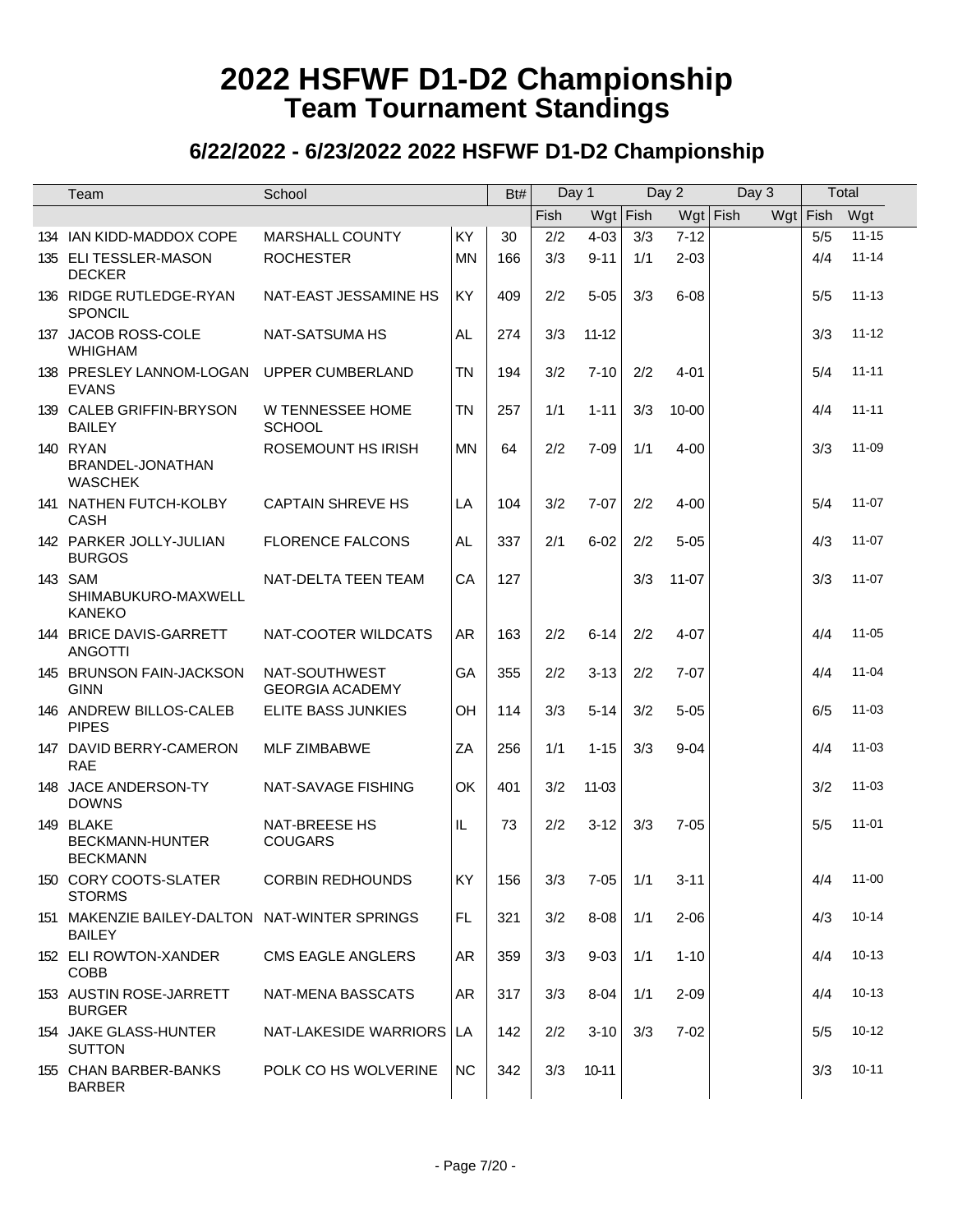| Team                                                           | School                                  |           | Bt# | Day 1 |                |     | Day 2      | Day 3 |            | Total     |
|----------------------------------------------------------------|-----------------------------------------|-----------|-----|-------|----------------|-----|------------|-------|------------|-----------|
|                                                                |                                         |           |     | Fish  | $Wgt$ Fish     |     | $Wgt$ Fish |       | $Wgt$ Fish | Wgt       |
| 134 IAN KIDD-MADDOX COPE                                       | <b>MARSHALL COUNTY</b>                  | KY        | 30  | 2/2   | $4 - 03$       | 3/3 | $7 - 12$   |       | 5/5        | $11 - 15$ |
| 135 ELI TESSLER-MASON<br><b>DECKER</b>                         | <b>ROCHESTER</b>                        | <b>MN</b> | 166 | 3/3   | $9 - 11$       | 1/1 | $2 - 03$   |       | 4/4        | $11 - 14$ |
| 136 RIDGE RUTLEDGE-RYAN<br>SPONCIL                             | NAT-EAST JESSAMINE HS                   | KY        | 409 | 2/2   | $5 - 05$       | 3/3 | $6 - 08$   |       | 5/5        | $11 - 13$ |
| 137 JACOB ROSS-COLE<br><b>WHIGHAM</b>                          | <b>NAT-SATSUMA HS</b>                   | <b>AL</b> | 274 | 3/3   | $11 - 12$      |     |            |       | 3/3        | $11 - 12$ |
| 138 PRESLEY LANNOM-LOGAN<br><b>EVANS</b>                       | UPPER CUMBERLAND                        | <b>TN</b> | 194 | 3/2   | $7 - 10$       | 2/2 | $4 - 01$   |       | 5/4        | $11 - 11$ |
| 139 CALEB GRIFFIN-BRYSON<br><b>BAILEY</b>                      | W TENNESSEE HOME<br><b>SCHOOL</b>       | <b>TN</b> | 257 | 1/1   | $1 - 11$       | 3/3 | $10 - 00$  |       | 4/4        | $11 - 11$ |
| <b>140 RYAN</b><br>BRANDEL-JONATHAN<br><b>WASCHEK</b>          | ROSEMOUNT HS IRISH                      | <b>MN</b> | 64  | 2/2   | $7 - 09$       | 1/1 | $4 - 00$   |       | 3/3        | 11-09     |
| 141 NATHEN FUTCH-KOLBY<br><b>CASH</b>                          | <b>CAPTAIN SHREVE HS</b>                | LA        | 104 | 3/2   | $7 - 07$       | 2/2 | $4 - 00$   |       | 5/4        | $11 - 07$ |
| 142 PARKER JOLLY-JULIAN<br><b>BURGOS</b>                       | <b>FLORENCE FALCONS</b>                 | AL        | 337 | 2/1   | $6 - 02$       | 2/2 | $5 - 05$   |       | 4/3        | $11 - 07$ |
| 143 SAM<br>SHIMABUKURO-MAXWELL<br><b>KANEKO</b>                | NAT-DELTA TEEN TEAM                     | CA        | 127 |       |                | 3/3 | $11 - 07$  |       | 3/3        | $11 - 07$ |
| 144 BRICE DAVIS-GARRETT<br><b>ANGOTTI</b>                      | NAT-COOTER WILDCATS                     | AR        | 163 | 2/2   | $6 - 14$       | 2/2 | $4 - 07$   |       | 4/4        | $11 - 05$ |
| 145 BRUNSON FAIN-JACKSON<br><b>GINN</b>                        | NAT-SOUTHWEST<br><b>GEORGIA ACADEMY</b> | GA        | 355 | 2/2   | $3 - 13$       | 2/2 | $7 - 07$   |       | 4/4        | $11 - 04$ |
| 146 ANDREW BILLOS-CALEB<br><b>PIPES</b>                        | ELITE BASS JUNKIES                      | OH        | 114 | 3/3   | $5 - 14$       | 3/2 | $5 - 05$   |       | 6/5        | $11 - 03$ |
| 147 DAVID BERRY-CAMERON<br><b>RAE</b>                          | <b>MLF ZIMBABWE</b>                     | ZA        | 256 | 1/1   | $1 - 15$       | 3/3 | $9 - 04$   |       | 4/4        | $11 - 03$ |
| 148 JACE ANDERSON-TY<br><b>DOWNS</b>                           | NAT-SAVAGE FISHING                      | OK        | 401 | 3/2   | 11-03          |     |            |       | 3/2        | $11 - 03$ |
| 149 BLAKE<br>BECKMANN-HUNTER<br><b>BECKMANN</b>                | NAT-BREESE HS<br><b>COUGARS</b>         | IL        | 73  | 2/2   | $3 - 12$       | 3/3 | $7 - 05$   |       | 5/5        | $11 - 01$ |
| 150 CORY COOTS-SLATER<br><b>STORMS</b>                         | <b>CORBIN REDHOUNDS</b>                 | <b>KY</b> | 156 |       | $3/3$ 7-05 1/1 |     | $3 - 11$   |       |            | 4/4 11-00 |
| 151 MAKENZIE BAILEY-DALTON NAT-WINTER SPRINGS<br><b>BAILEY</b> |                                         | <b>FL</b> | 321 | 3/2   | $8 - 08$       | 1/1 | $2 - 06$   |       | 4/3        | $10 - 14$ |
| 152 ELI ROWTON-XANDER<br><b>COBB</b>                           | <b>CMS EAGLE ANGLERS</b>                | AR        | 359 | 3/3   | $9 - 03$       | 1/1 | $1 - 10$   |       | 4/4        | $10 - 13$ |
| 153 AUSTIN ROSE-JARRETT<br><b>BURGER</b>                       | NAT-MENA BASSCATS                       | AR        | 317 | 3/3   | $8 - 04$       | 1/1 | $2 - 09$   |       | 4/4        | $10 - 13$ |
| 154 JAKE GLASS-HUNTER<br><b>SUTTON</b>                         | NAT-LAKESIDE WARRIORS LA                |           | 142 | 2/2   | $3 - 10$       | 3/3 | $7 - 02$   |       | 5/5        | $10 - 12$ |
| 155 CHAN BARBER-BANKS<br><b>BARBER</b>                         | POLK CO HS WOLVERINE                    | NC.       | 342 | 3/3   | 10-11          |     |            |       | 3/3        | 10-11     |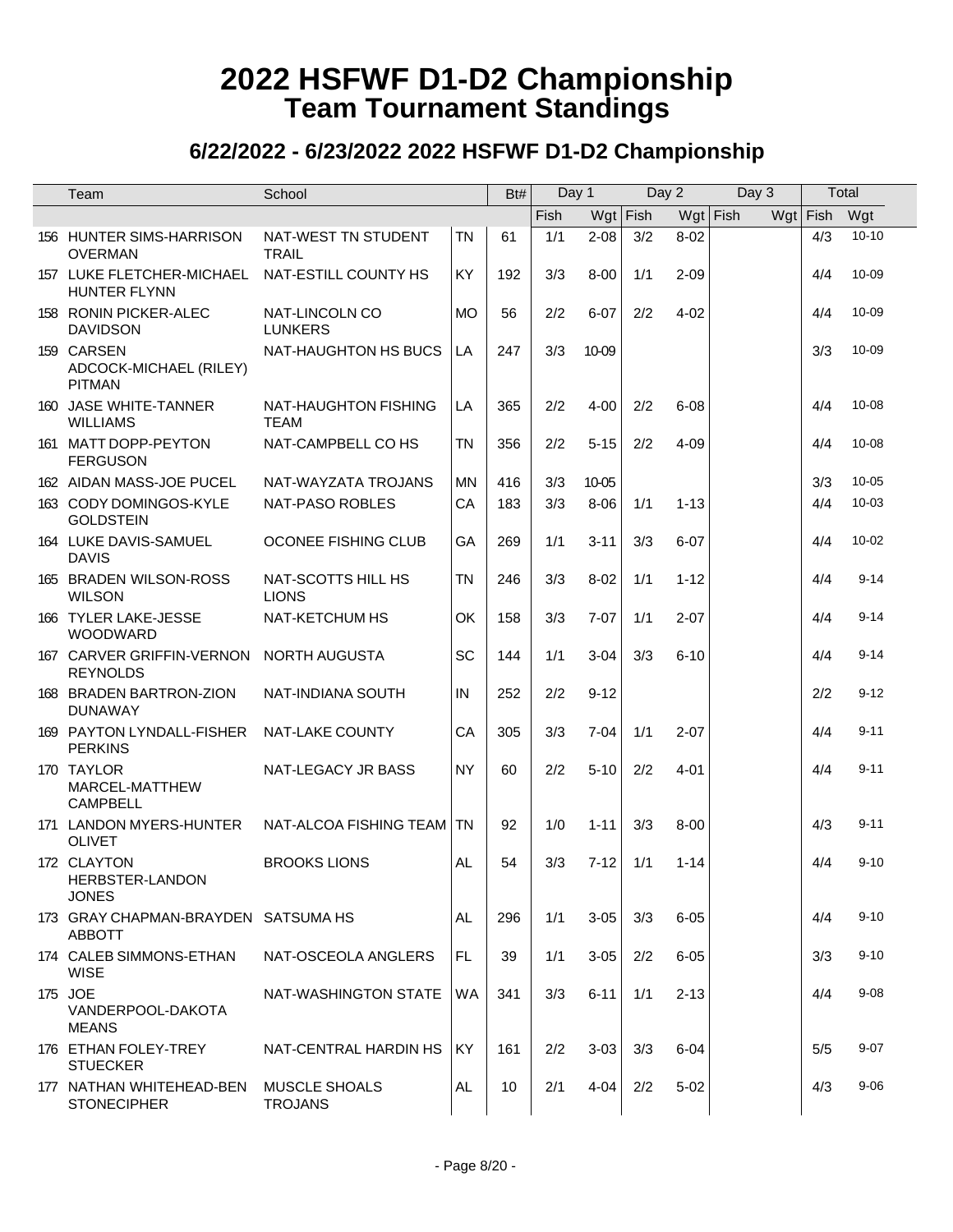| Team                                                       | School                                 |           | Bt# | Day 1 |            | Day 2 |            | Day 3 | Total    |           |
|------------------------------------------------------------|----------------------------------------|-----------|-----|-------|------------|-------|------------|-------|----------|-----------|
|                                                            |                                        |           |     | Fish  | $Wgt$ Fish |       | $Wgt$ Fish |       | Wgt Fish | Wgt       |
| 156 HUNTER SIMS-HARRISON<br><b>OVERMAN</b>                 | NAT-WEST TN STUDENT<br><b>TRAIL</b>    | <b>TN</b> | 61  | 1/1   | $2 - 08$   | 3/2   | $8 - 02$   |       | 4/3      | $10 - 10$ |
| 157 LUKE FLETCHER-MICHAEL<br><b>HUNTER FLYNN</b>           | NAT-ESTILL COUNTY HS                   | KY        | 192 | 3/3   | $8 - 00$   | 1/1   | $2 - 09$   |       | 4/4      | 10-09     |
| 158 RONIN PICKER-ALEC<br><b>DAVIDSON</b>                   | NAT-LINCOLN CO<br><b>LUNKERS</b>       | <b>MO</b> | 56  | 2/2   | $6 - 07$   | 2/2   | $4 - 02$   |       | 4/4      | 10-09     |
| 159 CARSEN<br>ADCOCK-MICHAEL (RILEY)<br><b>PITMAN</b>      | NAT-HAUGHTON HS BUCS                   | LA        | 247 | 3/3   | 10-09      |       |            |       | 3/3      | 10-09     |
| 160 JASE WHITE-TANNER<br><b>WILLIAMS</b>                   | NAT-HAUGHTON FISHING<br>TEAM           | LA        | 365 | 2/2   | $4 - 00$   | 2/2   | $6 - 08$   |       | 4/4      | $10 - 08$ |
| 161 MATT DOPP-PEYTON<br><b>FERGUSON</b>                    | NAT-CAMPBELL CO HS                     | <b>TN</b> | 356 | 2/2   | $5 - 15$   | 2/2   | $4 - 09$   |       | 4/4      | $10 - 08$ |
| 162 AIDAN MASS-JOE PUCEL                                   | NAT-WAYZATA TROJANS                    | <b>MN</b> | 416 | 3/3   | 10-05      |       |            |       | 3/3      | $10 - 05$ |
| 163 CODY DOMINGOS-KYLE<br><b>GOLDSTEIN</b>                 | NAT-PASO ROBLES                        | CA        | 183 | 3/3   | $8 - 06$   | 1/1   | $1 - 13$   |       | 4/4      | 10-03     |
| 164 LUKE DAVIS-SAMUEL<br><b>DAVIS</b>                      | OCONEE FISHING CLUB                    | GA        | 269 | 1/1   | $3 - 11$   | 3/3   | $6 - 07$   |       | 4/4      | $10 - 02$ |
| 165 BRADEN WILSON-ROSS<br><b>WILSON</b>                    | NAT-SCOTTS HILL HS<br><b>LIONS</b>     | <b>TN</b> | 246 | 3/3   | $8 - 02$   | 1/1   | $1 - 12$   |       | 4/4      | $9 - 14$  |
| 166 TYLER LAKE-JESSE<br><b>WOODWARD</b>                    | NAT-KETCHUM HS                         | OK        | 158 | 3/3   | $7 - 07$   | 1/1   | $2 - 07$   |       | 4/4      | $9 - 14$  |
| 167 CARVER GRIFFIN-VERNON NORTH AUGUSTA<br><b>REYNOLDS</b> |                                        | SC        | 144 | 1/1   | $3 - 04$   | 3/3   | $6 - 10$   |       | 4/4      | $9 - 14$  |
| 168 BRADEN BARTRON-ZION<br><b>DUNAWAY</b>                  | NAT-INDIANA SOUTH                      | IN        | 252 | 2/2   | $9 - 12$   |       |            |       | 2/2      | $9 - 12$  |
| 169 PAYTON LYNDALL-FISHER<br><b>PERKINS</b>                | NAT-LAKE COUNTY                        | CA        | 305 | 3/3   | $7 - 04$   | 1/1   | $2 - 07$   |       | 4/4      | $9 - 11$  |
| 170 TAYLOR<br>MARCEL-MATTHEW<br><b>CAMPBELL</b>            | NAT-LEGACY JR BASS                     | <b>NY</b> | 60  | 2/2   | $5 - 10$   | 2/2   | $4 - 01$   |       | 4/4      | $9 - 11$  |
| 171 LANDON MYERS-HUNTER<br><b>OLIVET</b>                   | NAT-ALCOA FISHING TEAM                 | <b>TN</b> | 92  | 1/0   | $1 - 11$   | 3/3   | $8 - 00$   |       | 4/3      | $9 - 11$  |
| 172 CLAYTON<br>HERBSTER-LANDON<br><b>JONES</b>             | <b>BROOKS LIONS</b>                    | AL.       | 54  | 3/3   | $7 - 12$   | 1/1   | $1 - 14$   |       | 4/4      | $9 - 10$  |
| 173 GRAY CHAPMAN-BRAYDEN SATSUMA HS<br><b>ABBOTT</b>       |                                        | <b>AL</b> | 296 | 1/1   | $3 - 05$   | 3/3   | $6 - 05$   |       | 4/4      | $9 - 10$  |
| 174 CALEB SIMMONS-ETHAN<br><b>WISE</b>                     | NAT-OSCEOLA ANGLERS                    | <b>FL</b> | 39  | 1/1   | $3 - 05$   | 2/2   | $6 - 05$   |       | 3/3      | $9 - 10$  |
| 175 JOE<br>VANDERPOOL-DAKOTA<br><b>MEANS</b>               | NAT-WASHINGTON STATE                   | WA        | 341 | 3/3   | $6 - 11$   | 1/1   | $2 - 13$   |       | 4/4      | $9 - 08$  |
| 176 ETHAN FOLEY-TREY<br><b>STUECKER</b>                    | NAT-CENTRAL HARDIN HS                  | <b>KY</b> | 161 | 2/2   | $3 - 03$   | 3/3   | $6 - 04$   |       | 5/5      | $9 - 07$  |
| 177 NATHAN WHITEHEAD-BEN<br><b>STONECIPHER</b>             | <b>MUSCLE SHOALS</b><br><b>TROJANS</b> | <b>AL</b> | 10  | 2/1   | $4 - 04$   | 2/2   | $5 - 02$   |       | 4/3      | $9 - 06$  |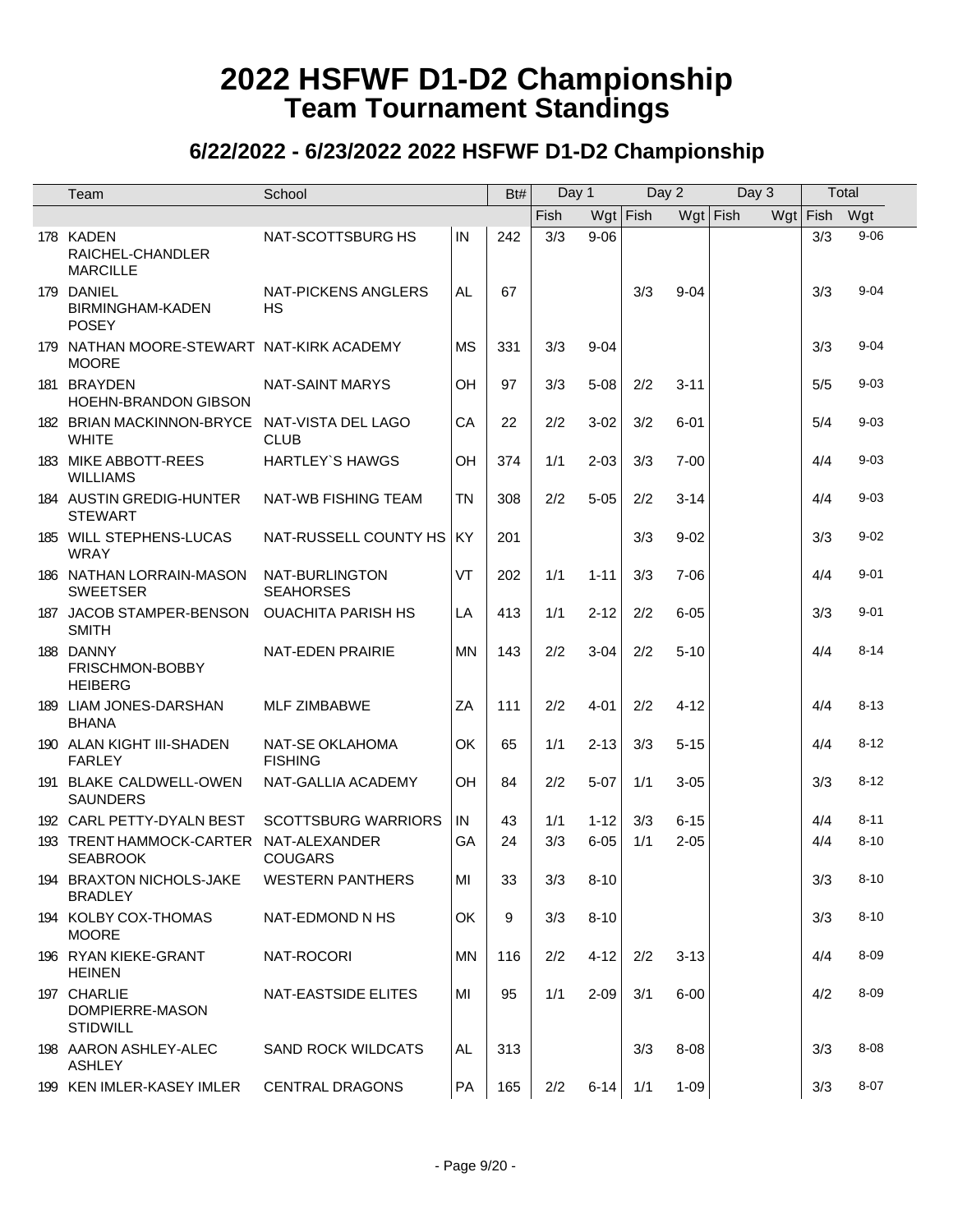| Team                                                         | School                             |           | Bt# | Day 1 |            |            | Day 2    | Day 3      |            | Total    |
|--------------------------------------------------------------|------------------------------------|-----------|-----|-------|------------|------------|----------|------------|------------|----------|
|                                                              |                                    |           |     | Fish  |            | $Wgt$ Fish |          | $Wgt$ Fish | $Wgt$ Fish | Wgt      |
| 178 KADEN<br>RAICHEL-CHANDLER<br><b>MARCILLE</b>             | NAT-SCOTTSBURG HS                  | IN        | 242 | 3/3   | $9 - 06$   |            |          |            | 3/3        | $9 - 06$ |
| 179 DANIEL<br>BIRMINGHAM-KADEN<br><b>POSEY</b>               | NAT-PICKENS ANGLERS<br><b>HS</b>   | AL        | 67  |       |            | 3/3        | $9 - 04$ |            | 3/3        | $9 - 04$ |
| 179 NATHAN MOORE-STEWART NAT-KIRK ACADEMY<br><b>MOORE</b>    |                                    | <b>MS</b> | 331 | 3/3   | $9 - 04$   |            |          |            | 3/3        | $9 - 04$ |
| 181 BRAYDEN<br><b>HOEHN-BRANDON GIBSON</b>                   | <b>NAT-SAINT MARYS</b>             | OH        | 97  | 3/3   | $5 - 08$   | 2/2        | $3 - 11$ |            | 5/5        | $9 - 03$ |
| 182 BRIAN MACKINNON-BRYCE NAT-VISTA DEL LAGO<br><b>WHITE</b> | <b>CLUB</b>                        | CA        | 22  | 2/2   | $3 - 02$   | 3/2        | $6 - 01$ |            | 5/4        | $9 - 03$ |
| 183 MIKE ABBOTT-REES<br><b>WILLIAMS</b>                      | <b>HARTLEY'S HAWGS</b>             | OH        | 374 | 1/1   | $2 - 03$   | 3/3        | $7 - 00$ |            | 4/4        | $9 - 03$ |
| 184 AUSTIN GREDIG-HUNTER<br><b>STEWART</b>                   | <b>NAT-WB FISHING TEAM</b>         | <b>TN</b> | 308 | 2/2   | $5 - 05$   | 2/2        | $3 - 14$ |            | 4/4        | $9 - 03$ |
| 185 WILL STEPHENS-LUCAS<br><b>WRAY</b>                       | NAT-RUSSELL COUNTY HS              | KY        | 201 |       |            | 3/3        | $9 - 02$ |            | 3/3        | $9 - 02$ |
| 186 NATHAN LORRAIN-MASON<br><b>SWEETSER</b>                  | NAT-BURLINGTON<br><b>SEAHORSES</b> | VT        | 202 | 1/1   | $1 - 11$   | 3/3        | $7 - 06$ |            | 4/4        | $9 - 01$ |
| 187 JACOB STAMPER-BENSON<br><b>SMITH</b>                     | <b>OUACHITA PARISH HS</b>          | LA        | 413 | 1/1   | $2 - 12$   | 2/2        | $6 - 05$ |            | 3/3        | $9 - 01$ |
| 188 DANNY<br>FRISCHMON-BOBBY<br><b>HEIBERG</b>               | NAT-EDEN PRAIRIE                   | <b>MN</b> | 143 | 2/2   | $3-04$     | 2/2        | $5 - 10$ |            | 4/4        | $8 - 14$ |
| 189 LIAM JONES-DARSHAN<br><b>BHANA</b>                       | <b>MLF ZIMBABWE</b>                | ZA        | 111 | 2/2   | $4 - 01$   | 2/2        | $4 - 12$ |            | 4/4        | $8 - 13$ |
| 190 ALAN KIGHT III-SHADEN<br><b>FARLEY</b>                   | NAT-SE OKLAHOMA<br><b>FISHING</b>  | OK        | 65  | 1/1   | $2 - 13$   | 3/3        | $5 - 15$ |            | 4/4        | $8 - 12$ |
| 191 BLAKE CALDWELL-OWEN<br><b>SAUNDERS</b>                   | NAT-GALLIA ACADEMY                 | OH        | 84  | 2/2   | $5 - 07$   | 1/1        | $3 - 05$ |            | 3/3        | $8 - 12$ |
| 192 CARL PETTY-DYALN BEST                                    | <b>SCOTTSBURG WARRIORS</b>         | IN        | 43  | 1/1   | $1 - 12$   | 3/3        | $6 - 15$ |            | 4/4        | $8 - 11$ |
| 193 TRENT HAMMOCK-CARTER NAT-ALEXANDER<br><b>SEABROOK</b>    | <b>COUGARS</b>                     | GA        | 24  | 3/3   | $6 - 05$   | 1/1        | $2 - 05$ |            | 4/4        | $8 - 10$ |
| 194 BRAXTON NICHOLS-JAKE<br><b>BRADLEY</b>                   | <b>WESTERN PANTHERS</b>            | MI        | 33  |       | $3/3$ 8-10 |            |          |            | 3/3        | $8 - 10$ |
| 194 KOLBY COX-THOMAS<br><b>MOORE</b>                         | NAT-EDMOND N HS                    | OK        | 9   | 3/3   | $8 - 10$   |            |          |            | 3/3        | $8 - 10$ |
| 196 RYAN KIEKE-GRANT<br><b>HEINEN</b>                        | NAT-ROCORI                         | <b>MN</b> | 116 | 2/2   | $4 - 12$   | 2/2        | $3 - 13$ |            | 4/4        | $8 - 09$ |
| 197 CHARLIE<br>DOMPIERRE-MASON<br><b>STIDWILL</b>            | NAT-EASTSIDE ELITES                | MI        | 95  | 1/1   | $2 - 09$   | 3/1        | $6 - 00$ |            | 4/2        | $8 - 09$ |
| 198 AARON ASHLEY-ALEC<br><b>ASHLEY</b>                       | SAND ROCK WILDCATS                 | AL        | 313 |       |            | 3/3        | 8-08     |            | 3/3        | $8 - 08$ |
| 199 KEN IMLER-KASEY IMLER                                    | <b>CENTRAL DRAGONS</b>             | PA        | 165 | 2/2   | $6 - 14$   | 1/1        | $1 - 09$ |            | 3/3        | $8 - 07$ |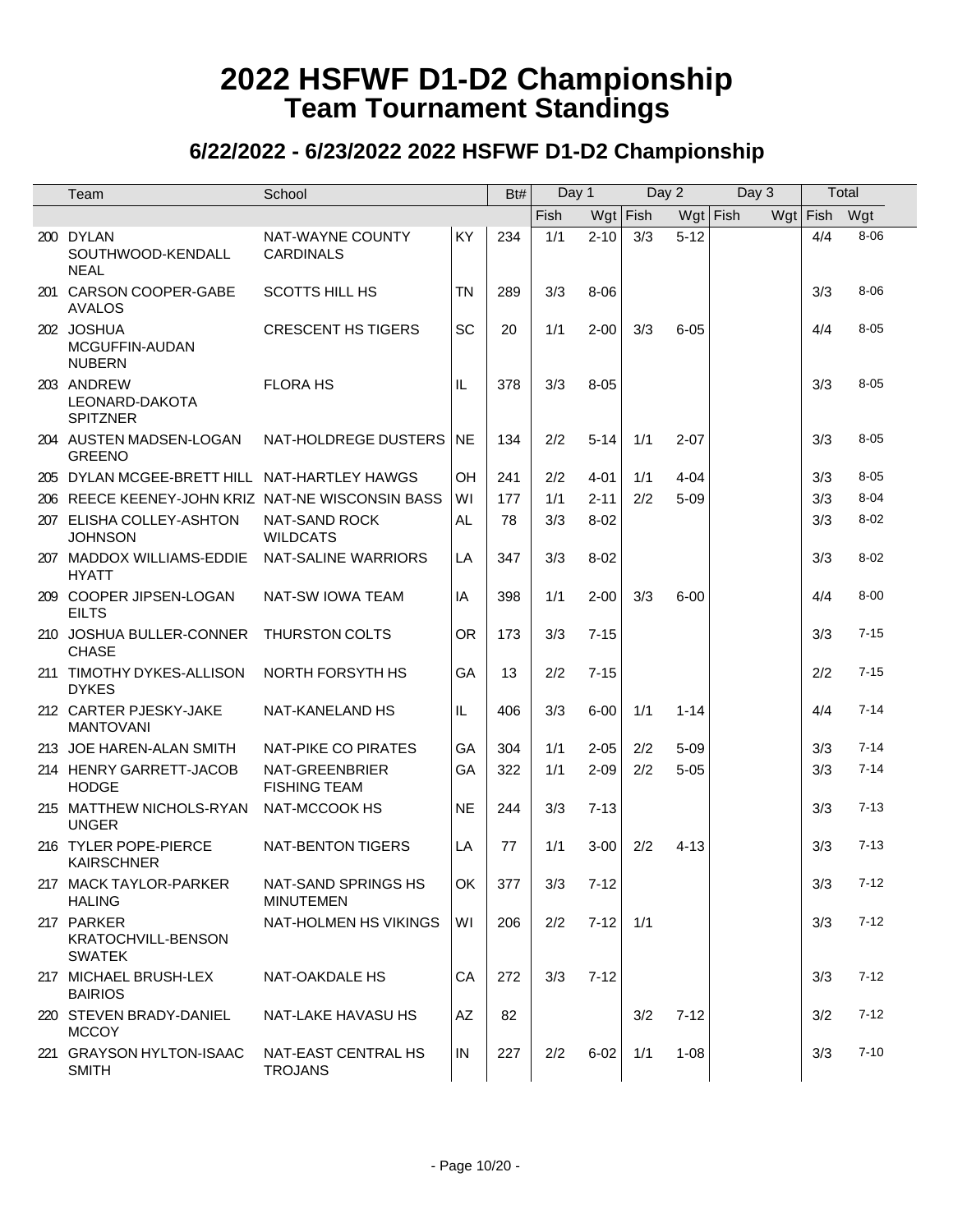| Team                                                     | School                                  |           | Bt# | Day 1 |          |            | Day 2      | Day 3 | Total      |          |
|----------------------------------------------------------|-----------------------------------------|-----------|-----|-------|----------|------------|------------|-------|------------|----------|
|                                                          |                                         |           |     | Fish  |          | $Wgt$ Fish | $Wgt$ Fish |       | $Wgt$ Fish | Wgt      |
| 200 DYLAN<br>SOUTHWOOD-KENDALL<br><b>NEAL</b>            | NAT-WAYNE COUNTY<br><b>CARDINALS</b>    | KY        | 234 | 1/1   | $2 - 10$ | 3/3        | $5 - 12$   |       | 4/4        | $8 - 06$ |
| 201 CARSON COOPER-GABE<br>AVALOS                         | <b>SCOTTS HILL HS</b>                   | <b>TN</b> | 289 | 3/3   | $8 - 06$ |            |            |       | 3/3        | $8 - 06$ |
| 202 JOSHUA<br>MCGUFFIN-AUDAN<br><b>NUBERN</b>            | <b>CRESCENT HS TIGERS</b>               | SC        | 20  | 1/1   | $2 - 00$ | 3/3        | $6 - 05$   |       | 4/4        | $8 - 05$ |
| 203 ANDREW<br>LEONARD-DAKOTA<br><b>SPITZNER</b>          | <b>FLORA HS</b>                         | IL        | 378 | 3/3   | $8 - 05$ |            |            |       | 3/3        | $8 - 05$ |
| 204 AUSTEN MADSEN-LOGAN<br><b>GREENO</b>                 | NAT-HOLDREGE DUSTERS   NE               |           | 134 | 2/2   | $5 - 14$ | 1/1        | $2 - 07$   |       | 3/3        | $8 - 05$ |
| 205 DYLAN MCGEE-BRETT HILL NAT-HARTLEY HAWGS             |                                         | OH        | 241 | 2/2   | $4 - 01$ | 1/1        | $4 - 04$   |       | 3/3        | $8 - 05$ |
| 206 REECE KEENEY-JOHN KRIZ NAT-NE WISCONSIN BASS         |                                         | WI        | 177 | 1/1   | $2 - 11$ | 2/2        | $5 - 09$   |       | 3/3        | $8 - 04$ |
| 207 ELISHA COLLEY-ASHTON<br><b>JOHNSON</b>               | <b>NAT-SAND ROCK</b><br><b>WILDCATS</b> | AL.       | 78  | 3/3   | $8 - 02$ |            |            |       | 3/3        | $8 - 02$ |
| 207 MADDOX WILLIAMS-EDDIE<br><b>HYATT</b>                | NAT-SALINE WARRIORS                     | LA        | 347 | 3/3   | $8 - 02$ |            |            |       | 3/3        | $8 - 02$ |
| 209 COOPER JIPSEN-LOGAN<br>FILTS                         | NAT-SW IOWA TEAM                        | IA        | 398 | 1/1   | $2 - 00$ | 3/3        | $6 - 00$   |       | 4/4        | $8 - 00$ |
| 210 JOSHUA BULLER-CONNER<br><b>CHASE</b>                 | THURSTON COLTS                          | <b>OR</b> | 173 | 3/3   | $7 - 15$ |            |            |       | 3/3        | $7 - 15$ |
| 211 TIMOTHY DYKES-ALLISON<br><b>DYKES</b>                | NORTH FORSYTH HS                        | GA        | 13  | 2/2   | $7 - 15$ |            |            |       | 2/2        | $7 - 15$ |
| 212 CARTER PJESKY-JAKE<br><b>MANTOVANI</b>               | NAT-KANELAND HS                         | IL.       | 406 | 3/3   | $6 - 00$ | 1/1        | $1 - 14$   |       | 4/4        | $7 - 14$ |
| 213 JOE HAREN-ALAN SMITH                                 | NAT-PIKE CO PIRATES                     | GA        | 304 | 1/1   | $2 - 05$ | 2/2        | $5 - 09$   |       | 3/3        | $7 - 14$ |
| 214 HENRY GARRETT-JACOB<br><b>HODGE</b>                  | NAT-GREENBRIER<br><b>FISHING TEAM</b>   | GA        | 322 | 1/1   | $2 - 09$ | 2/2        | $5 - 05$   |       | 3/3        | $7 - 14$ |
| 215 MATTHEW NICHOLS-RYAN<br><b>UNGER</b>                 | NAT-MCCOOK HS                           | <b>NE</b> | 244 | 3/3   | $7 - 13$ |            |            |       | 3/3        | $7 - 13$ |
| 216 TYLER POPE-PIERCE<br><b>KAIRSCHNER</b>               | NAT-BENTON TIGERS                       | LA        | 77  | 1/1   | $3 - 00$ | 2/2        | 4-13       |       | 3/3        | $7 - 13$ |
| 217 MACK TAYLOR-PARKER<br><b>HALING</b>                  | NAT-SAND SPRINGS HS<br><b>MINUTEMEN</b> | OK        | 377 | 3/3   | $7 - 12$ |            |            |       | 3/3        | $7 - 12$ |
| 217 PARKER<br><b>KRATOCHVILL-BENSON</b><br><b>SWATEK</b> | NAT-HOLMEN HS VIKINGS                   | WI        | 206 | 2/2   | $7-12$   | 1/1        |            |       | 3/3        | $7 - 12$ |
| 217 MICHAEL BRUSH-LEX<br><b>BAIRIOS</b>                  | NAT-OAKDALE HS                          | CA        | 272 | 3/3   | $7 - 12$ |            |            |       | 3/3        | $7 - 12$ |
| 220 STEVEN BRADY-DANIEL<br><b>MCCOY</b>                  | NAT-LAKE HAVASU HS                      | AZ        | 82  |       |          | 3/2        | $7 - 12$   |       | 3/2        | $7 - 12$ |
| 221 GRAYSON HYLTON-ISAAC<br><b>SMITH</b>                 | NAT-EAST CENTRAL HS<br><b>TROJANS</b>   | IN        | 227 | 2/2   | $6 - 02$ | 1/1        | $1 - 08$   |       | 3/3        | $7 - 10$ |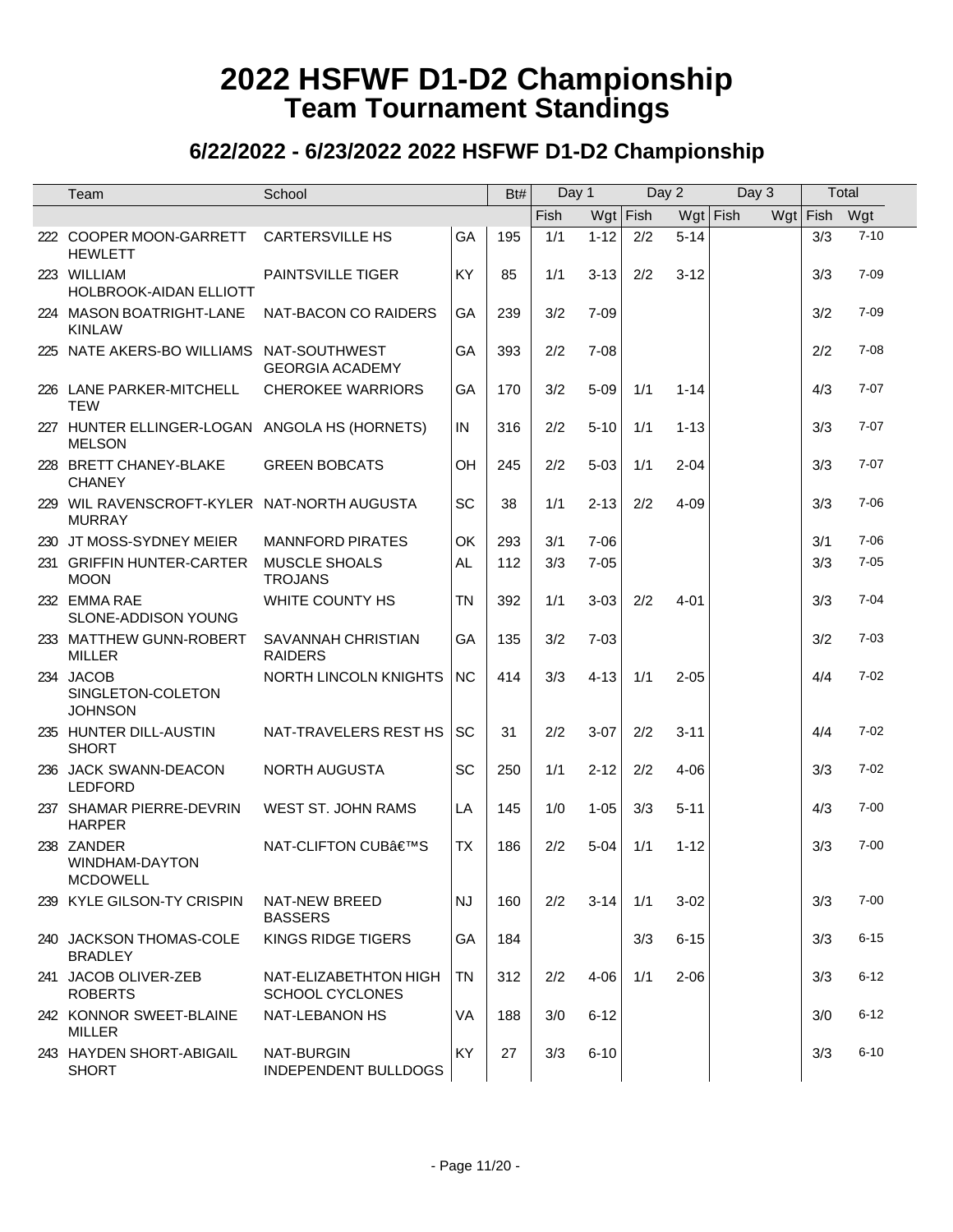| Team                                                           | School                                          |           | Bt# | Day 1 |            | Day 2 |            | Day 3 |              | Total    |
|----------------------------------------------------------------|-------------------------------------------------|-----------|-----|-------|------------|-------|------------|-------|--------------|----------|
|                                                                |                                                 |           |     | Fish  | $Wgt$ Fish |       | $Wgt$ Fish |       | Wgt Fish Wgt |          |
| 222 COOPER MOON-GARRETT<br><b>HEWLETT</b>                      | <b>CARTERSVILLE HS</b>                          | GA        | 195 | 1/1   | $1 - 12$   | 2/2   | $5 - 14$   |       | 3/3          | $7 - 10$ |
| 223 WILLIAM<br>HOLBROOK-AIDAN ELLIOTT                          | PAINTSVILLE TIGER                               | KY        | 85  | 1/1   | $3 - 13$   | 2/2   | $3 - 12$   |       | 3/3          | $7 - 09$ |
| 224 MASON BOATRIGHT-LANE<br><b>KINLAW</b>                      | NAT-BACON CO RAIDERS                            | GA        | 239 | 3/2   | $7 - 09$   |       |            |       | 3/2          | $7 - 09$ |
| 225 NATE AKERS-BO WILLIAMS NAT-SOUTHWEST                       | <b>GEORGIA ACADEMY</b>                          | GA        | 393 | 2/2   | $7 - 08$   |       |            |       | 2/2          | $7 - 08$ |
| 226 LANE PARKER-MITCHELL<br><b>TEW</b>                         | <b>CHEROKEE WARRIORS</b>                        | GA        | 170 | 3/2   | $5 - 09$   | 1/1   | $1 - 14$   |       | 4/3          | $7 - 07$ |
| 227 HUNTER ELLINGER-LOGAN ANGOLA HS (HORNETS)<br><b>MELSON</b> |                                                 | IN        | 316 | 2/2   | $5 - 10$   | 1/1   | $1 - 13$   |       | 3/3          | $7 - 07$ |
| 228 BRETT CHANEY-BLAKE<br><b>CHANEY</b>                        | <b>GREEN BOBCATS</b>                            | OH        | 245 | 2/2   | $5 - 03$   | 1/1   | $2 - 04$   |       | 3/3          | $7 - 07$ |
| 229 WIL RAVENSCROFT-KYLER NAT-NORTH AUGUSTA<br><b>MURRAY</b>   |                                                 | <b>SC</b> | 38  | 1/1   | $2 - 13$   | 2/2   | $4 - 09$   |       | 3/3          | $7 - 06$ |
| 230 JT MOSS-SYDNEY MEIER                                       | <b>MANNFORD PIRATES</b>                         | OK        | 293 | 3/1   | $7 - 06$   |       |            |       | 3/1          | $7 - 06$ |
| 231 GRIFFIN HUNTER-CARTER<br><b>MOON</b>                       | <b>MUSCLE SHOALS</b><br><b>TROJANS</b>          | <b>AL</b> | 112 | 3/3   | $7 - 05$   |       |            |       | 3/3          | $7 - 05$ |
| 232 EMMA RAE<br>SLONE-ADDISON YOUNG                            | WHITE COUNTY HS                                 | <b>TN</b> | 392 | 1/1   | $3 - 03$   | 2/2   | $4 - 01$   |       | 3/3          | $7 - 04$ |
| 233 MATTHEW GUNN-ROBERT<br><b>MILLER</b>                       | SAVANNAH CHRISTIAN<br><b>RAIDERS</b>            | GA        | 135 | 3/2   | $7 - 03$   |       |            |       | 3/2          | $7 - 03$ |
| 234 JACOB<br>SINGLETON-COLETON<br><b>JOHNSON</b>               | NORTH LINCOLN KNIGHTS                           | <b>NC</b> | 414 | 3/3   | $4 - 13$   | 1/1   | $2 - 05$   |       | 4/4          | $7 - 02$ |
| 235 HUNTER DILL-AUSTIN<br><b>SHORT</b>                         | NAT-TRAVELERS REST HS                           | SC        | 31  | 2/2   | $3-07$     | 2/2   | $3 - 11$   |       | 4/4          | $7 - 02$ |
| 236 JACK SWANN-DEACON<br><b>LEDFORD</b>                        | NORTH AUGUSTA                                   | SC        | 250 | 1/1   | $2 - 12$   | 2/2   | $4 - 06$   |       | 3/3          | $7 - 02$ |
| 237 SHAMAR PIERRE-DEVRIN<br><b>HARPER</b>                      | WEST ST. JOHN RAMS                              | LA        | 145 | 1/0   | $1 - 05$   | 3/3   | $5 - 11$   |       | 4/3          | $7 - 00$ |
| 238 ZANDER<br>WINDHAM-DAYTON<br><b>MCDOWELL</b>                | NAT-CLIFTON CUB'S                               | <b>TX</b> | 186 | 2/2   | $5 - 04$   | 1/1   | $1 - 12$   |       | 3/3          | $7 - 00$ |
| 239 KYLE GILSON-TY CRISPIN                                     | NAT-NEW BREED<br><b>BASSERS</b>                 | <b>NJ</b> | 160 | 2/2   | 3-14       | 1/1   | $3 - 02$   |       | 3/3          | $7 - 00$ |
| 240 JACKSON THOMAS-COLE<br><b>BRADLEY</b>                      | KINGS RIDGE TIGERS                              | GA        | 184 |       |            | 3/3   | $6 - 15$   |       | 3/3          | $6 - 15$ |
| 241 JACOB OLIVER-ZEB<br><b>ROBERTS</b>                         | NAT-ELIZABETHTON HIGH<br><b>SCHOOL CYCLONES</b> | <b>TN</b> | 312 | 2/2   | $4 - 06$   | 1/1   | $2 - 06$   |       | 3/3          | $6 - 12$ |
| 242 KONNOR SWEET-BLAINE<br>MILLER                              | NAT-LEBANON HS                                  | VA        | 188 | 3/0   | $6 - 12$   |       |            |       | 3/0          | $6 - 12$ |
| 243 HAYDEN SHORT-ABIGAIL<br><b>SHORT</b>                       | NAT-BURGIN<br><b>INDEPENDENT BULLDOGS</b>       | KY        | 27  | 3/3   | $6 - 10$   |       |            |       | 3/3          | $6 - 10$ |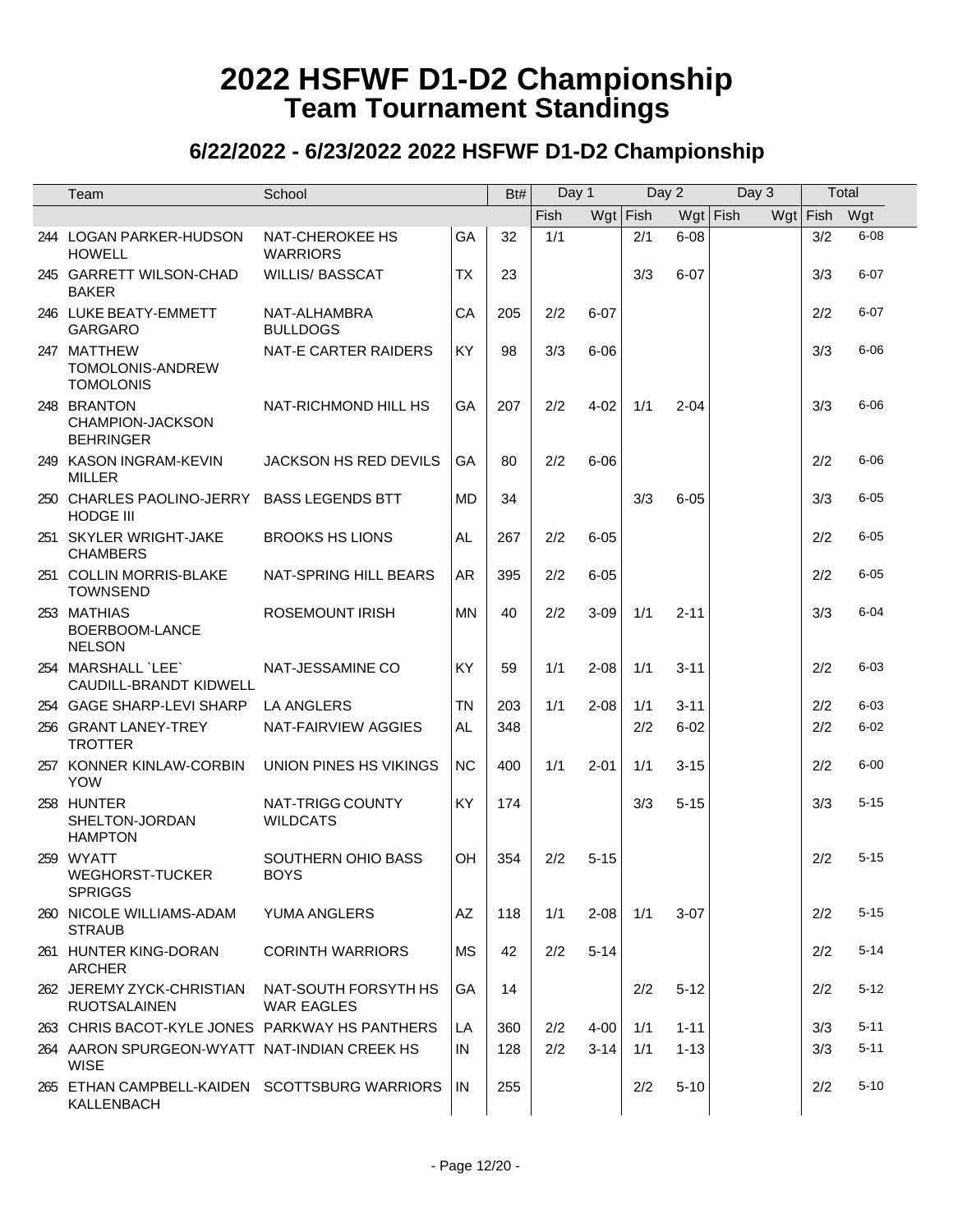| Team                                                        | School                                    |           | Bt# | Day 1 |            | Day 2 |            | Day 3 | Total      |          |
|-------------------------------------------------------------|-------------------------------------------|-----------|-----|-------|------------|-------|------------|-------|------------|----------|
|                                                             |                                           |           |     | Fish  | $Wgt$ Fish |       | $Wgt$ Fish |       | $Wgt$ Fish | Wgt      |
| 244 LOGAN PARKER-HUDSON<br><b>HOWELL</b>                    | NAT-CHEROKEE HS<br><b>WARRIORS</b>        | GA        | 32  | 1/1   |            | 2/1   | $6 - 08$   |       | 3/2        | $6 - 08$ |
| 245 GARRETT WILSON-CHAD<br><b>BAKER</b>                     | <b>WILLIS/ BASSCAT</b>                    | <b>TX</b> | 23  |       |            | 3/3   | $6 - 07$   |       | 3/3        | $6 - 07$ |
| 246 LUKE BEATY-EMMETT<br><b>GARGARO</b>                     | NAT-ALHAMBRA<br><b>BULLDOGS</b>           | CA        | 205 | 2/2   | $6 - 07$   |       |            |       | 2/2        | $6 - 07$ |
| 247 MATTHEW<br>TOMOLONIS-ANDREW<br><b>TOMOLONIS</b>         | NAT-E CARTER RAIDERS                      | KY        | 98  | 3/3   | $6 - 06$   |       |            |       | 3/3        | $6 - 06$ |
| 248 BRANTON<br><b>CHAMPION-JACKSON</b><br><b>BEHRINGER</b>  | NAT-RICHMOND HILL HS                      | GA        | 207 | 2/2   | $4 - 02$   | 1/1   | $2 - 04$   |       | 3/3        | $6 - 06$ |
| 249 KASON INGRAM-KEVIN<br><b>MILLER</b>                     | JACKSON HS RED DEVILS                     | GA        | 80  | 2/2   | $6 - 06$   |       |            |       | 2/2        | $6 - 06$ |
| 250 CHARLES PAOLINO-JERRY<br><b>HODGE III</b>               | <b>BASS LEGENDS BTT</b>                   | <b>MD</b> | 34  |       |            | 3/3   | $6 - 05$   |       | 3/3        | $6 - 05$ |
| 251 SKYLER WRIGHT-JAKE<br><b>CHAMBERS</b>                   | <b>BROOKS HS LIONS</b>                    | <b>AL</b> | 267 | 2/2   | $6 - 05$   |       |            |       | 2/2        | $6 - 05$ |
| 251 COLLIN MORRIS-BLAKE<br><b>TOWNSEND</b>                  | NAT-SPRING HILL BEARS                     | <b>AR</b> | 395 | 2/2   | $6 - 05$   |       |            |       | 2/2        | $6 - 05$ |
| 253 MATHIAS<br>BOERBOOM-LANCE<br><b>NELSON</b>              | <b>ROSEMOUNT IRISH</b>                    | <b>MN</b> | 40  | 2/2   | $3 - 09$   | 1/1   | $2 - 11$   |       | 3/3        | $6 - 04$ |
| 254 MARSHALL `LEE`<br>CAUDILL-BRANDT KIDWELL                | NAT-JESSAMINE CO                          | <b>KY</b> | 59  | 1/1   | $2 - 08$   | 1/1   | $3 - 11$   |       | 2/2        | $6 - 03$ |
| 254 GAGE SHARP-LEVI SHARP                                   | LA ANGLERS                                | <b>TN</b> | 203 | 1/1   | $2 - 08$   | 1/1   | $3 - 11$   |       | 2/2        | $6 - 03$ |
| 256 GRANT LANEY-TREY<br><b>TROTTER</b>                      | NAT-FAIRVIEW AGGIES                       | AL        | 348 |       |            | 2/2   | $6 - 02$   |       | 2/2        | $6 - 02$ |
| 257 KONNER KINLAW-CORBIN<br><b>YOW</b>                      | UNION PINES HS VIKINGS                    | <b>NC</b> | 400 | 1/1   | $2 - 01$   | 1/1   | $3 - 15$   |       | 2/2        | $6 - 00$ |
| 258 HUNTER<br>SHELTON-JORDAN<br><b>HAMPTON</b>              | NAT-TRIGG COUNTY<br><b>WILDCATS</b>       | KY        | 174 |       |            | 3/3   | $5 - 15$   |       | 3/3        | $5 - 15$ |
| 259 WYATT<br>WEGHORST-TUCKER<br><b>SPRIGGS</b>              | SOUTHERN OHIO BASS<br><b>BOYS</b>         | OH        | 354 | 2/2   | $5 - 15$   |       |            |       | 2/2        | $5 - 15$ |
| 260 NICOLE WILLIAMS-ADAM<br><b>STRAUB</b>                   | YUMA ANGLERS                              | AZ        | 118 | 1/1   | $2 - 08$   | 1/1   | $3-07$     |       | 2/2        | $5 - 15$ |
| 261 HUNTER KING-DORAN<br><b>ARCHER</b>                      | <b>CORINTH WARRIORS</b>                   | <b>MS</b> | 42  | 2/2   | $5 - 14$   |       |            |       | 2/2        | $5 - 14$ |
| 262 JEREMY ZYCK-CHRISTIAN<br><b>RUOTSALAINEN</b>            | NAT-SOUTH FORSYTH HS<br><b>WAR EAGLES</b> | GA        | 14  |       |            | 2/2   | $5 - 12$   |       | 2/2        | $5 - 12$ |
| 263 CHRIS BACOT-KYLE JONES PARKWAY HS PANTHERS              |                                           | LA        | 360 | 2/2   | 4-00       | 1/1   | $1 - 11$   |       | 3/3        | $5 - 11$ |
| 264 AARON SPURGEON-WYATT NAT-INDIAN CREEK HS<br><b>WISE</b> |                                           | IN        | 128 | 2/2   | $3 - 14$   | 1/1   | $1 - 13$   |       | 3/3        | $5 - 11$ |
| 265 ETHAN CAMPBELL-KAIDEN SCOTTSBURG WARRIORS<br>KALLENBACH |                                           | IN        | 255 |       |            | 2/2   | $5 - 10$   |       | 2/2        | $5 - 10$ |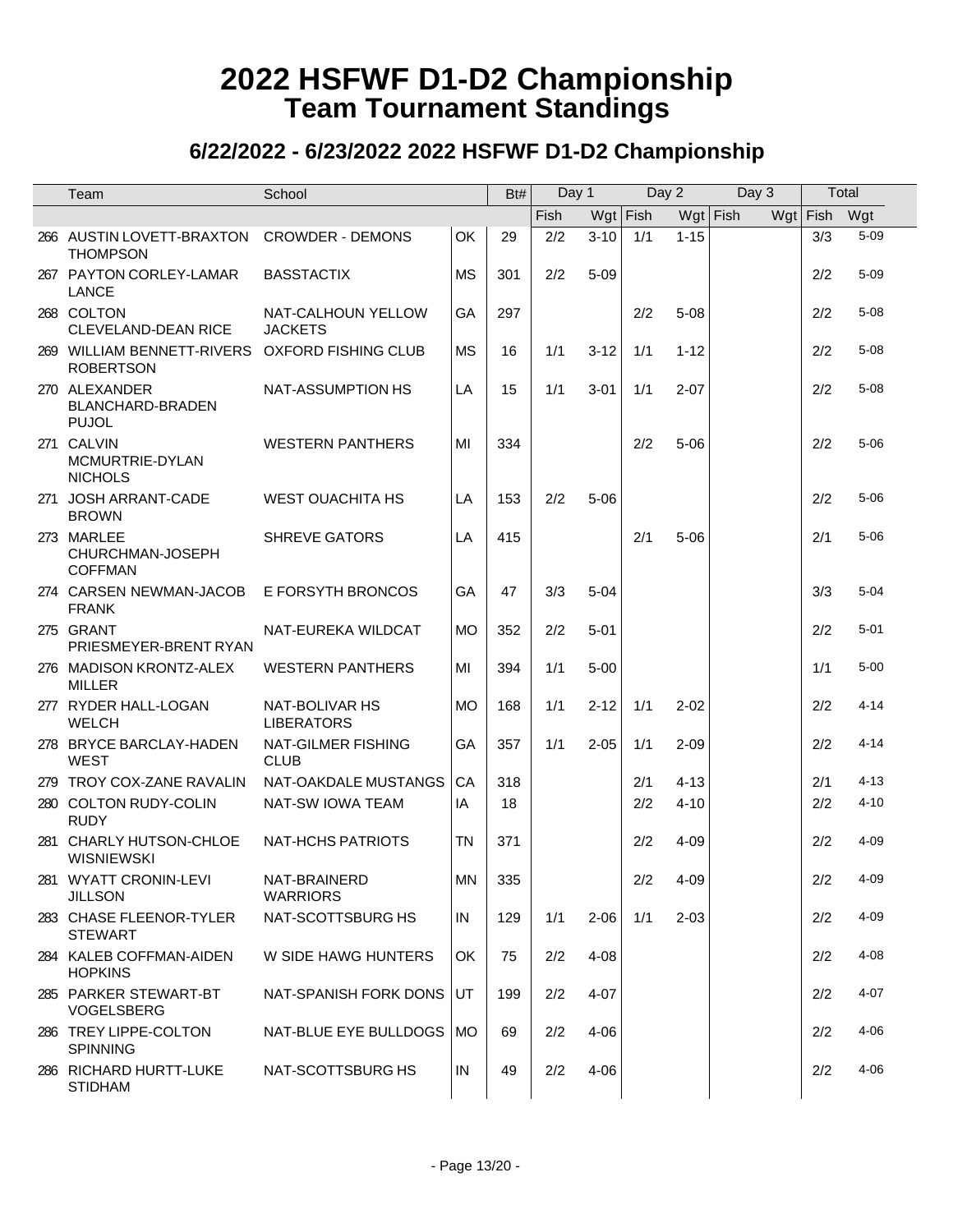|                  | School                                                                                                                                                                                                                                                                                                                                                                                                                                                                                                                                                                                                                                                                                                                                                                                                                                                                                       |                                                                                           | Bt# |      |          |       |            |                     |            |       |          |                                   |
|------------------|----------------------------------------------------------------------------------------------------------------------------------------------------------------------------------------------------------------------------------------------------------------------------------------------------------------------------------------------------------------------------------------------------------------------------------------------------------------------------------------------------------------------------------------------------------------------------------------------------------------------------------------------------------------------------------------------------------------------------------------------------------------------------------------------------------------------------------------------------------------------------------------------|-------------------------------------------------------------------------------------------|-----|------|----------|-------|------------|---------------------|------------|-------|----------|-----------------------------------|
|                  |                                                                                                                                                                                                                                                                                                                                                                                                                                                                                                                                                                                                                                                                                                                                                                                                                                                                                              |                                                                                           |     | Fish |          |       |            |                     |            |       |          |                                   |
|                  |                                                                                                                                                                                                                                                                                                                                                                                                                                                                                                                                                                                                                                                                                                                                                                                                                                                                                              |                                                                                           | 29  |      | $3 - 10$ | 1/1   | $1 - 15$   |                     |            | 3/3   |          |                                   |
|                  | <b>BASSTACTIX</b>                                                                                                                                                                                                                                                                                                                                                                                                                                                                                                                                                                                                                                                                                                                                                                                                                                                                            | <b>MS</b>                                                                                 | 301 | 2/2  | $5 - 09$ |       |            |                     |            | 2/2   | $5 - 09$ |                                   |
|                  | NAT-CALHOUN YELLOW<br><b>JACKETS</b>                                                                                                                                                                                                                                                                                                                                                                                                                                                                                                                                                                                                                                                                                                                                                                                                                                                         | GA                                                                                        | 297 |      |          | 2/2   | $5 - 08$   |                     |            | 2/2   | $5 - 08$ |                                   |
| <b>ROBERTSON</b> |                                                                                                                                                                                                                                                                                                                                                                                                                                                                                                                                                                                                                                                                                                                                                                                                                                                                                              | <b>MS</b>                                                                                 | 16  | 1/1  | $3 - 12$ | 1/1   | $1 - 12$   |                     |            | 2/2   | $5 - 08$ |                                   |
|                  | NAT-ASSUMPTION HS                                                                                                                                                                                                                                                                                                                                                                                                                                                                                                                                                                                                                                                                                                                                                                                                                                                                            | LA                                                                                        | 15  | 1/1  | $3 - 01$ | 1/1   | $2 - 07$   |                     |            | 2/2   | $5 - 08$ |                                   |
|                  | <b>WESTERN PANTHERS</b>                                                                                                                                                                                                                                                                                                                                                                                                                                                                                                                                                                                                                                                                                                                                                                                                                                                                      | MI                                                                                        | 334 |      |          | 2/2   | $5 - 06$   |                     |            | 2/2   | $5 - 06$ |                                   |
|                  | <b>WEST OUACHITA HS</b>                                                                                                                                                                                                                                                                                                                                                                                                                                                                                                                                                                                                                                                                                                                                                                                                                                                                      | LA                                                                                        | 153 | 2/2  | $5 - 06$ |       |            |                     |            | 2/2   | $5 - 06$ |                                   |
|                  | <b>SHREVE GATORS</b>                                                                                                                                                                                                                                                                                                                                                                                                                                                                                                                                                                                                                                                                                                                                                                                                                                                                         | LA                                                                                        | 415 |      |          | 2/1   | $5 - 06$   |                     |            | 2/1   | $5 - 06$ |                                   |
|                  | E FORSYTH BRONCOS                                                                                                                                                                                                                                                                                                                                                                                                                                                                                                                                                                                                                                                                                                                                                                                                                                                                            | GA                                                                                        | 47  | 3/3  | $5 - 04$ |       |            |                     |            | 3/3   | $5 - 04$ |                                   |
|                  | NAT-EUREKA WILDCAT                                                                                                                                                                                                                                                                                                                                                                                                                                                                                                                                                                                                                                                                                                                                                                                                                                                                           | <b>MO</b>                                                                                 | 352 | 2/2  | $5 - 01$ |       |            |                     |            | 2/2   | $5 - 01$ |                                   |
|                  | <b>WESTERN PANTHERS</b>                                                                                                                                                                                                                                                                                                                                                                                                                                                                                                                                                                                                                                                                                                                                                                                                                                                                      | MI                                                                                        | 394 | 1/1  | $5 - 00$ |       |            |                     |            | 1/1   | $5 - 00$ |                                   |
|                  | NAT-BOLIVAR HS<br><b>LIBERATORS</b>                                                                                                                                                                                                                                                                                                                                                                                                                                                                                                                                                                                                                                                                                                                                                                                                                                                          | <b>MO</b>                                                                                 | 168 | 1/1  | $2 - 12$ | 1/1   | $2 - 02$   |                     |            | 2/2   | $4 - 14$ |                                   |
|                  | NAT-GILMER FISHING<br><b>CLUB</b>                                                                                                                                                                                                                                                                                                                                                                                                                                                                                                                                                                                                                                                                                                                                                                                                                                                            | GA                                                                                        | 357 | 1/1  | $2 - 05$ | 1/1   | $2 - 09$   |                     |            | 2/2   | $4 - 14$ |                                   |
|                  | NAT-OAKDALE MUSTANGS                                                                                                                                                                                                                                                                                                                                                                                                                                                                                                                                                                                                                                                                                                                                                                                                                                                                         | CA                                                                                        | 318 |      |          | 2/1   | $4 - 13$   |                     |            | 2/1   | $4 - 13$ |                                   |
| <b>RUDY</b>      | NAT-SW IOWA TEAM                                                                                                                                                                                                                                                                                                                                                                                                                                                                                                                                                                                                                                                                                                                                                                                                                                                                             | IA                                                                                        | 18  |      |          | 2/2   | $4 - 10$   |                     |            | 2/2   | $4 - 10$ |                                   |
|                  | <b>NAT-HCHS PATRIOTS</b>                                                                                                                                                                                                                                                                                                                                                                                                                                                                                                                                                                                                                                                                                                                                                                                                                                                                     | <b>TN</b>                                                                                 | 371 |      |          | 2/2   | 4-09       |                     |            | 2/2   | $4 - 09$ |                                   |
|                  | <b>WARRIORS</b>                                                                                                                                                                                                                                                                                                                                                                                                                                                                                                                                                                                                                                                                                                                                                                                                                                                                              | <b>MN</b>                                                                                 | 335 |      |          |       |            |                     |            | 2/2   | $4 - 09$ |                                   |
| <b>STEWART</b>   | NAT-SCOTTSBURG HS                                                                                                                                                                                                                                                                                                                                                                                                                                                                                                                                                                                                                                                                                                                                                                                                                                                                            | IN                                                                                        | 129 | 1/1  | $2 - 06$ | 1/1   | $2 - 03$   |                     |            | 2/2   | $4 - 09$ |                                   |
|                  | W SIDE HAWG HUNTERS                                                                                                                                                                                                                                                                                                                                                                                                                                                                                                                                                                                                                                                                                                                                                                                                                                                                          | OK                                                                                        | 75  | 2/2  | $4 - 08$ |       |            |                     |            | 2/2   | $4 - 08$ |                                   |
|                  | NAT-SPANISH FORK DONS                                                                                                                                                                                                                                                                                                                                                                                                                                                                                                                                                                                                                                                                                                                                                                                                                                                                        | UT                                                                                        | 199 | 2/2  | $4 - 07$ |       |            |                     |            | 2/2   | $4 - 07$ |                                   |
| <b>SPINNING</b>  | NAT-BLUE EYE BULLDOGS                                                                                                                                                                                                                                                                                                                                                                                                                                                                                                                                                                                                                                                                                                                                                                                                                                                                        | <b>MO</b>                                                                                 | 69  | 2/2  | $4 - 06$ |       |            |                     |            | 2/2   | $4 - 06$ |                                   |
|                  | NAT-SCOTTSBURG HS                                                                                                                                                                                                                                                                                                                                                                                                                                                                                                                                                                                                                                                                                                                                                                                                                                                                            | IN                                                                                        | 49  | 2/2  | $4 - 06$ |       |            |                     |            | 2/2   | $4 - 06$ |                                   |
|                  | Team<br>266 AUSTIN LOVETT-BRAXTON<br><b>THOMPSON</b><br>267 PAYTON CORLEY-LAMAR<br><b>LANCE</b><br>268 COLTON<br>CLEVELAND-DEAN RICE<br>270 ALEXANDER<br>BLANCHARD-BRADEN<br><b>PUJOL</b><br>271 CALVIN<br>MCMURTRIE-DYLAN<br><b>NICHOLS</b><br>271 JOSH ARRANT-CADE<br><b>BROWN</b><br>273 MARLEE<br>CHURCHMAN-JOSEPH<br><b>COFFMAN</b><br>274 CARSEN NEWMAN-JACOB<br><b>FRANK</b><br>275 GRANT<br>PRIESMEYER-BRENT RYAN<br>276 MADISON KRONTZ-ALEX<br><b>MILLER</b><br>277 RYDER HALL-LOGAN<br><b>WELCH</b><br>278 BRYCE BARCLAY-HADEN<br><b>WEST</b><br>279 TROY COX-ZANE RAVALIN<br>280 COLTON RUDY-COLIN<br>281 CHARLY HUTSON-CHLOE<br><b>WISNIEWSKI</b><br>281 WYATT CRONIN-LEVI<br><b>JILLSON</b><br>283 CHASE FLEENOR-TYLER<br>284 KALEB COFFMAN-AIDEN<br><b>HOPKINS</b><br>285 PARKER STEWART-BT<br>VOGELSBERG<br>286 TREY LIPPE-COLTON<br>286 RICHARD HURTT-LUKE<br><b>STIDHAM</b> | <b>CROWDER - DEMONS</b><br>269 WILLIAM BENNETT-RIVERS OXFORD FISHING CLUB<br>NAT-BRAINERD | OK  |      | 2/2      | Day 1 | $Wgt$ Fish | Day 2<br>$2/2$ 4-09 | $Wgt$ Fish | Day 3 |          | Total<br>Wgt Fish Wgt<br>$5 - 09$ |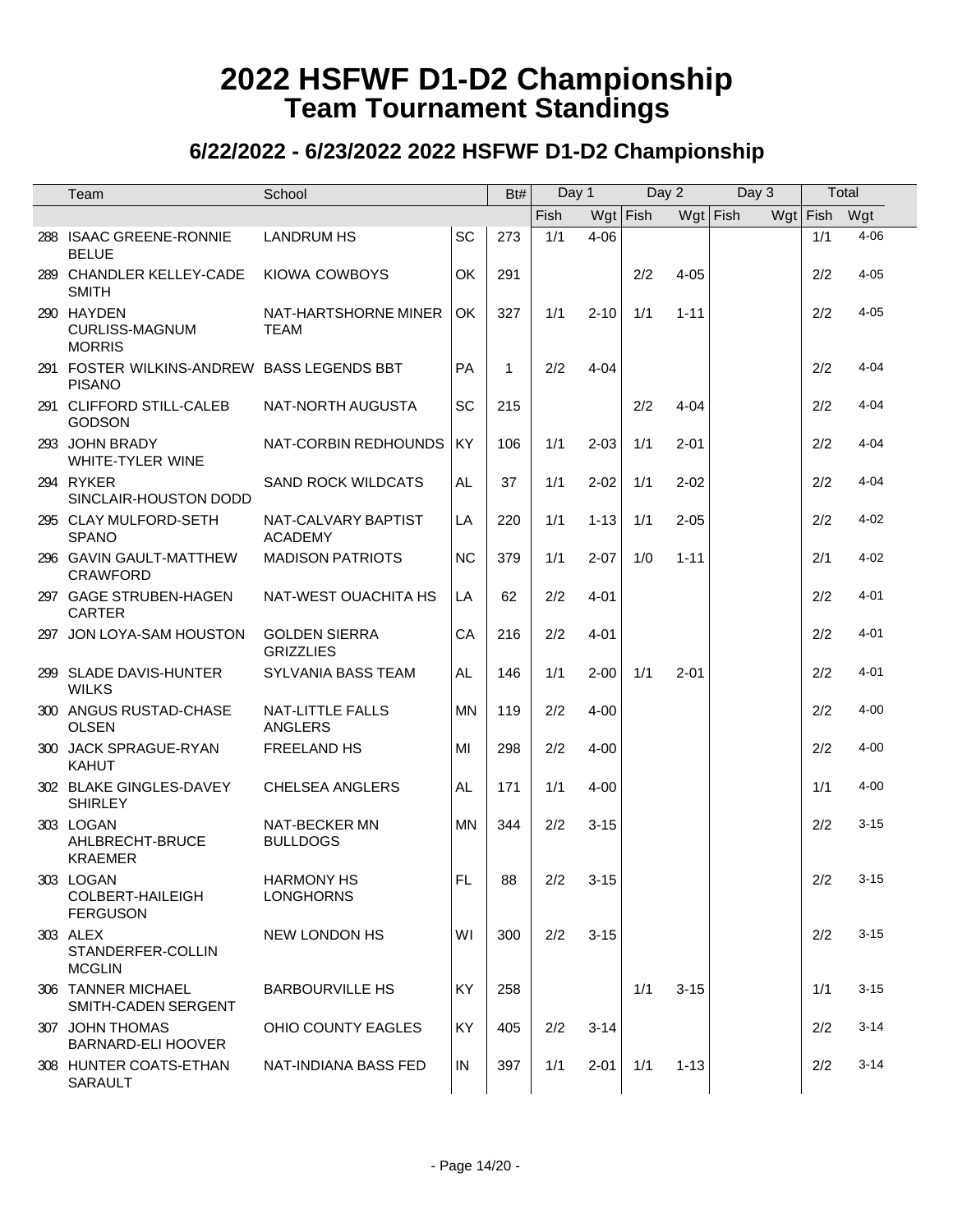| Team                                                        | School                                   |           | Bt#          | Day 1      |            | Day 2 |            | Day 3 | Total    |            |
|-------------------------------------------------------------|------------------------------------------|-----------|--------------|------------|------------|-------|------------|-------|----------|------------|
|                                                             |                                          |           |              | Fish       | $Wgt$ Fish |       | $Wgt$ Fish |       | Wgt Fish | Wgt        |
| 288 ISAAC GREENE-RONNIE<br><b>BELUE</b>                     | <b>LANDRUM HS</b>                        | SC        | 273          | 1/1        | $4 - 06$   |       |            |       | 1/1      | $4 - 06$   |
| 289 CHANDLER KELLEY-CADE<br><b>SMITH</b>                    | KIOWA COWBOYS                            | OK        | 291          |            |            | 2/2   | $4 - 05$   |       | 2/2      | $4 - 05$   |
| 290 HAYDEN<br><b>CURLISS-MAGNUM</b><br><b>MORRIS</b>        | NAT-HARTSHORNE MINER<br><b>TEAM</b>      | OK        | 327          | 1/1        | $2 - 10$   | 1/1   | $1 - 11$   |       | 2/2      | $4 - 05$   |
| 291 FOSTER WILKINS-ANDREW BASS LEGENDS BBT<br><b>PISANO</b> |                                          | <b>PA</b> | $\mathbf{1}$ | 2/2        | $4 - 04$   |       |            |       | 2/2      | $4 - 04$   |
| 291 CLIFFORD STILL-CALEB<br><b>GODSON</b>                   | NAT-NORTH AUGUSTA                        | <b>SC</b> | 215          |            |            | 2/2   | $4 - 04$   |       | 2/2      | $4 - 04$   |
| 293 JOHN BRADY<br><b>WHITE-TYLER WINE</b>                   | NAT-CORBIN REDHOUNDS                     | KY        | 106          | 1/1        | $2 - 03$   | 1/1   | $2 - 01$   |       | 2/2      | $4 - 04$   |
| 294 RYKER<br>SINCLAIR-HOUSTON DODD                          | <b>SAND ROCK WILDCATS</b>                | AL.       | 37           | 1/1        | $2 - 02$   | 1/1   | $2 - 02$   |       | 2/2      | $4 - 04$   |
| 295 CLAY MULFORD-SETH<br><b>SPANO</b>                       | NAT-CALVARY BAPTIST<br><b>ACADEMY</b>    | LA        | 220          | 1/1        | $1 - 13$   | 1/1   | $2 - 05$   |       | 2/2      | $4 - 02$   |
| 296 GAVIN GAULT-MATTHEW<br><b>CRAWFORD</b>                  | <b>MADISON PATRIOTS</b>                  | <b>NC</b> | 379          | 1/1        | $2 - 07$   | 1/0   | $1 - 11$   |       | 2/1      | $4 - 02$   |
| 297 GAGE STRUBEN-HAGEN<br><b>CARTER</b>                     | NAT-WEST OUACHITA HS                     | LA        | 62           | 2/2        | $4 - 01$   |       |            |       | 2/2      | $4 - 01$   |
| 297 JON LOYA-SAM HOUSTON                                    | <b>GOLDEN SIERRA</b><br><b>GRIZZLIES</b> | CA        | 216          | 2/2        | $4 - 01$   |       |            |       | 2/2      | $4 - 01$   |
| 299 SLADE DAVIS-HUNTER<br><b>WILKS</b>                      | SYLVANIA BASS TEAM                       | AL        | 146          | 1/1        | $2 - 00$   | 1/1   | $2 - 01$   |       | 2/2      | $4 - 01$   |
| 300 ANGUS RUSTAD-CHASE<br><b>OLSEN</b>                      | NAT-LITTLE FALLS<br>ANGLERS              | <b>MN</b> | 119          | 2/2        | $4 - 00$   |       |            |       | 2/2      | $4 - 00$   |
| 300 JACK SPRAGUE-RYAN<br><b>KAHUT</b>                       | FREELAND HS                              | MI        | 298          | 2/2        | $4 - 00$   |       |            |       | 2/2      | $4 - 00$   |
| 302 BLAKE GINGLES-DAVEY<br><b>SHIRLEY</b>                   | <b>CHELSEA ANGLERS</b>                   | AL        | 171          | 1/1        | $4 - 00$   |       |            |       | 1/1      | $4 - 00$   |
| 303 LOGAN<br>AHLBRECHT-BRUCE<br><b>KRAEMER</b>              | NAT-BECKER MN<br><b>BULLDOGS</b>         | <b>MN</b> | 344          | 2/2        | $3 - 15$   |       |            |       | 2/2      | $3 - 15$   |
| 303 LOGAN<br>COLBERT-HAILEIGH<br><b>FERGUSON</b>            | <b>HARMONY HS</b><br><b>LONGHORNS</b>    | FL.       | 88           | $2/2$ 3-15 |            |       |            |       |          | $2/2$ 3-15 |
| 303 ALEX<br>STANDERFER-COLLIN<br><b>MCGLIN</b>              | NEW LONDON HS                            | WI        | 300          | 2/2        | $3 - 15$   |       |            |       | 2/2      | $3 - 15$   |
| 306 TANNER MICHAEL<br>SMITH-CADEN SERGENT                   | <b>BARBOURVILLE HS</b>                   | <b>KY</b> | 258          |            |            | 1/1   | $3 - 15$   |       | 1/1      | $3 - 15$   |
| 307 JOHN THOMAS<br>BARNARD-ELI HOOVER                       | OHIO COUNTY EAGLES                       | KY        | 405          | 2/2        | $3 - 14$   |       |            |       | 2/2      | $3 - 14$   |
| 308 HUNTER COATS-ETHAN<br>SARAULT                           | NAT-INDIANA BASS FED                     | IN        | 397          | 1/1        | $2 - 01$   | 1/1   | $1 - 13$   |       | 2/2      | $3 - 14$   |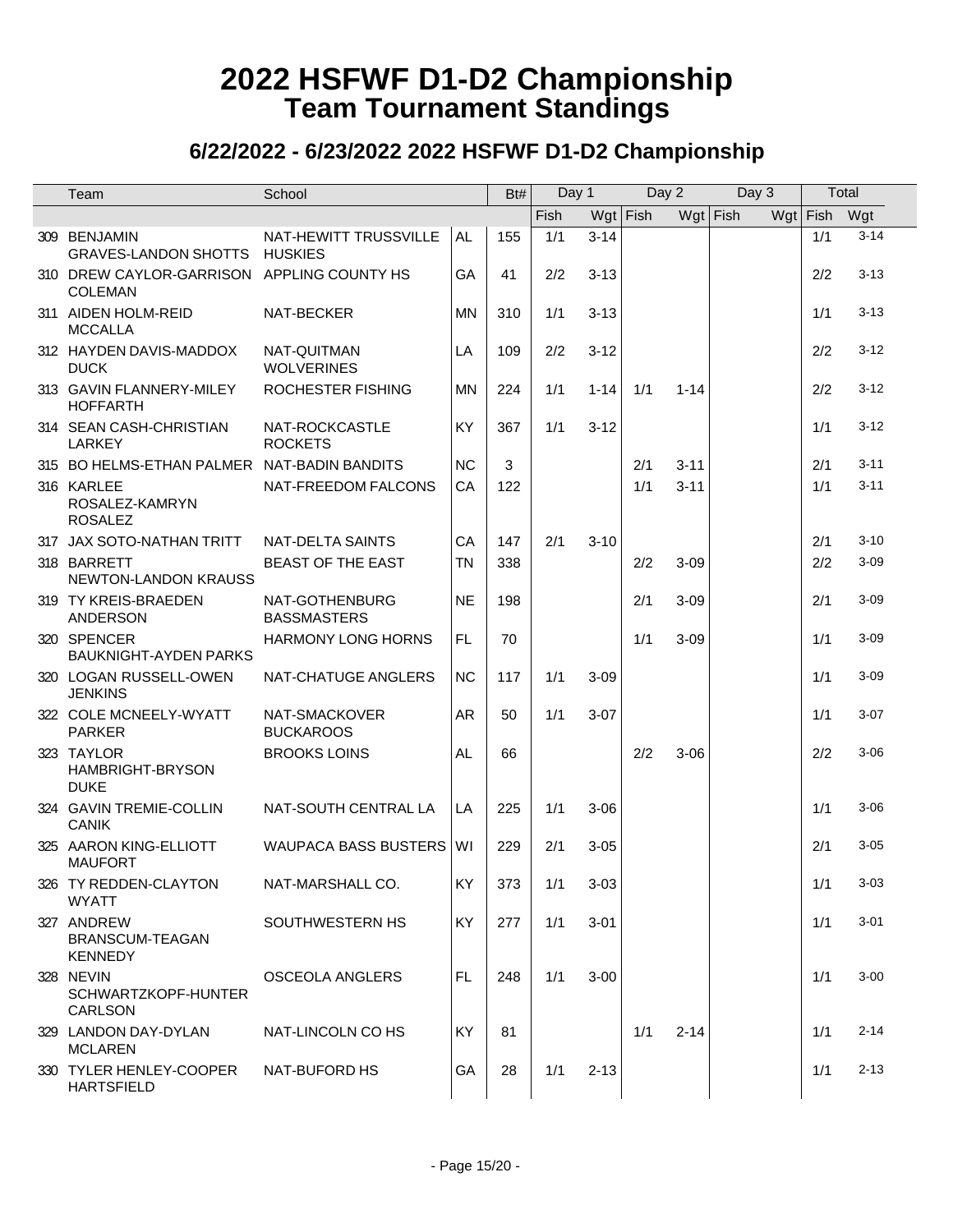| Team                                                         | School                                  |           | Bt# | Day 1 |            | Day 2 |            | Day 3 | Total    |          |
|--------------------------------------------------------------|-----------------------------------------|-----------|-----|-------|------------|-------|------------|-------|----------|----------|
|                                                              |                                         |           |     | Fish  | $Wgt$ Fish |       | $Wgt$ Fish |       | Wgt Fish | Wgt      |
| 309 BENJAMIN<br><b>GRAVES-LANDON SHOTTS</b>                  | NAT-HEWITT TRUSSVILLE<br><b>HUSKIES</b> | AL.       | 155 | 1/1   | $3 - 14$   |       |            |       | 1/1      | $3 - 14$ |
| 310 DREW CAYLOR-GARRISON APPLING COUNTY HS<br><b>COLEMAN</b> |                                         | GA        | 41  | 2/2   | $3 - 13$   |       |            |       | 2/2      | $3 - 13$ |
| 311 AIDEN HOLM-REID<br><b>MCCALLA</b>                        | NAT-BECKER                              | <b>MN</b> | 310 | 1/1   | $3 - 13$   |       |            |       | 1/1      | $3 - 13$ |
| 312 HAYDEN DAVIS-MADDOX<br><b>DUCK</b>                       | NAT-QUITMAN<br><b>WOLVERINES</b>        | LA        | 109 | 2/2   | $3 - 12$   |       |            |       | 2/2      | $3 - 12$ |
| 313 GAVIN FLANNERY-MILEY<br><b>HOFFARTH</b>                  | ROCHESTER FISHING                       | <b>MN</b> | 224 | 1/1   | $1 - 14$   | 1/1   | $1 - 14$   |       | 2/2      | $3 - 12$ |
| 314 SEAN CASH-CHRISTIAN<br><b>LARKEY</b>                     | NAT-ROCKCASTLE<br><b>ROCKETS</b>        | KY        | 367 | 1/1   | $3 - 12$   |       |            |       | 1/1      | $3 - 12$ |
| 315 BO HELMS-ETHAN PALMER NAT-BADIN BANDITS                  |                                         | <b>NC</b> | 3   |       |            | 2/1   | $3 - 11$   |       | 2/1      | $3 - 11$ |
| 316 KARLEE<br>ROSALEZ-KAMRYN<br><b>ROSALEZ</b>               | NAT-FREEDOM FALCONS                     | CA        | 122 |       |            | 1/1   | $3 - 11$   |       | 1/1      | $3 - 11$ |
| 317 JAX SOTO-NATHAN TRITT                                    | NAT-DELTA SAINTS                        | CA        | 147 | 2/1   | $3 - 10$   |       |            |       | 2/1      | $3 - 10$ |
| 318 BARRETT<br>NEWTON-LANDON KRAUSS                          | <b>BEAST OF THE EAST</b>                | <b>TN</b> | 338 |       |            | 2/2   | $3 - 09$   |       | 2/2      | $3 - 09$ |
| 319 TY KREIS-BRAEDEN<br><b>ANDERSON</b>                      | NAT-GOTHENBURG<br><b>BASSMASTERS</b>    | <b>NE</b> | 198 |       |            | 2/1   | $3 - 09$   |       | 2/1      | $3 - 09$ |
| 320 SPENCER<br><b>BAUKNIGHT-AYDEN PARKS</b>                  | <b>HARMONY LONG HORNS</b>               | <b>FL</b> | 70  |       |            | 1/1   | $3 - 09$   |       | 1/1      | $3 - 09$ |
| 320 LOGAN RUSSELL-OWEN<br><b>JENKINS</b>                     | NAT-CHATUGE ANGLERS                     | <b>NC</b> | 117 | 1/1   | $3 - 09$   |       |            |       | 1/1      | $3 - 09$ |
| 322 COLE MCNEELY-WYATT<br><b>PARKER</b>                      | NAT-SMACKOVER<br><b>BUCKAROOS</b>       | AR        | 50  | 1/1   | $3 - 07$   |       |            |       | 1/1      | $3-07$   |
| 323 TAYLOR<br>HAMBRIGHT-BRYSON<br><b>DUKE</b>                | <b>BROOKS LOINS</b>                     | AL.       | 66  |       |            | 2/2   | $3 - 06$   |       | 2/2      | $3 - 06$ |
| 324 GAVIN TREMIE-COLLIN<br><b>CANIK</b>                      | NAT-SOUTH CENTRAL LA                    | LA        | 225 | 1/1   | $3 - 06$   |       |            |       | 1/1      | $3 - 06$ |
| 325 AARON KING-ELLIOTT<br><b>MAUFORT</b>                     | WAUPACA BASS BUSTERS   WI               |           | 229 | 2/1   | $3 - 05$   |       |            |       | 2/1      | $3 - 05$ |
| 326 TY REDDEN-CLAYTON<br><b>WYATT</b>                        | NAT-MARSHALL CO.                        | KY.       | 373 | 1/1   | $3 - 03$   |       |            |       | 1/1      | $3 - 03$ |
| 327 ANDREW<br>BRANSCUM-TEAGAN<br><b>KENNEDY</b>              | SOUTHWESTERN HS                         | <b>KY</b> | 277 | 1/1   | $3 - 01$   |       |            |       | 1/1      | $3 - 01$ |
| 328 NEVIN<br>SCHWARTZKOPF-HUNTER<br><b>CARLSON</b>           | OSCEOLA ANGLERS                         | FL.       | 248 | 1/1   | $3 - 00$   |       |            |       | 1/1      | $3 - 00$ |
| 329 LANDON DAY-DYLAN<br><b>MCLAREN</b>                       | NAT-LINCOLN CO HS                       | <b>KY</b> | 81  |       |            | 1/1   | $2 - 14$   |       | 1/1      | $2 - 14$ |
| 330 TYLER HENLEY-COOPER<br><b>HARTSFIELD</b>                 | NAT-BUFORD HS                           | GA        | 28  | 1/1   | $2 - 13$   |       |            |       | 1/1      | $2 - 13$ |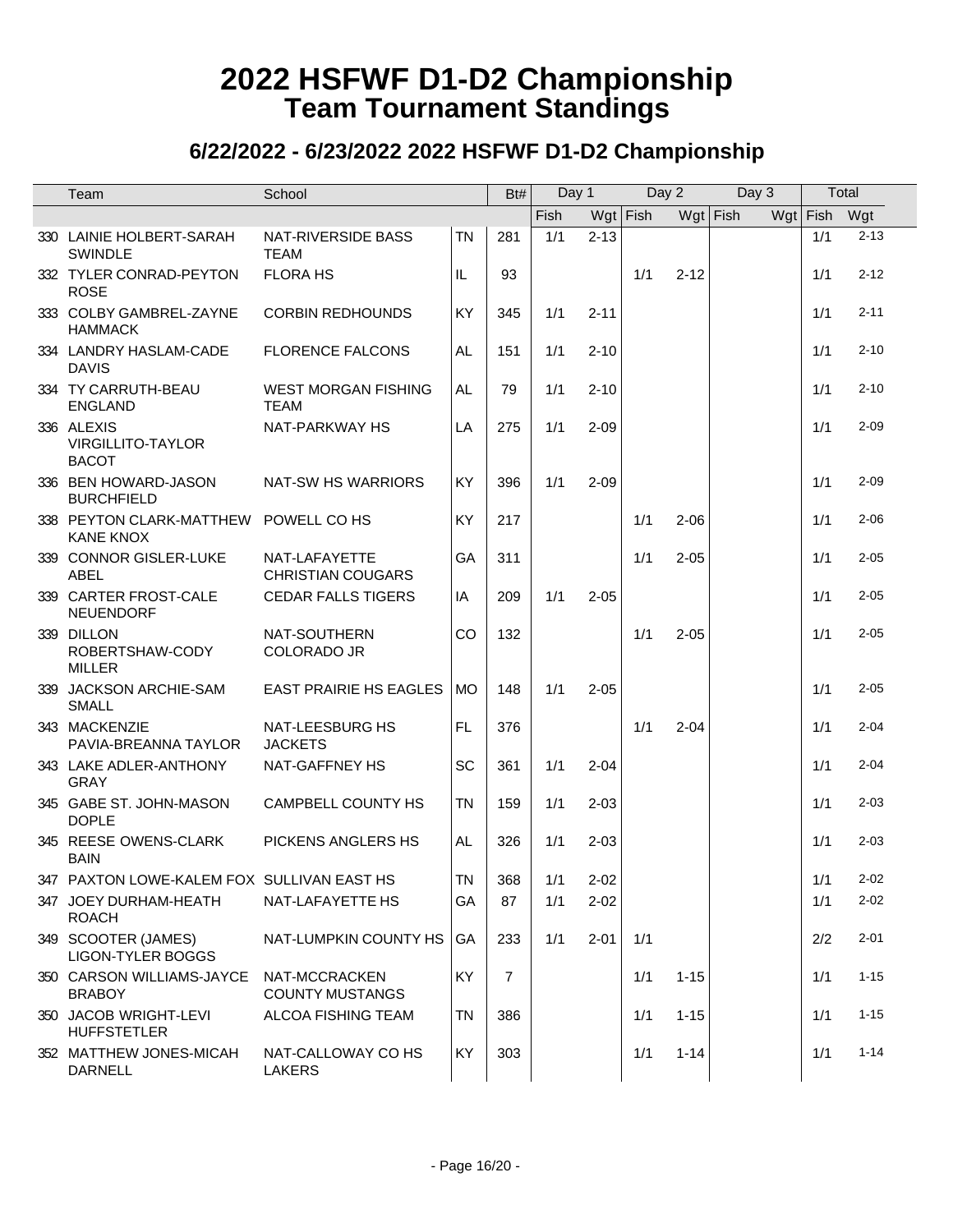| Team                                                      | School                                    |           | Bt#            | Day 1       |            | Day 2 |          | Day 3      | Total      |          |
|-----------------------------------------------------------|-------------------------------------------|-----------|----------------|-------------|------------|-------|----------|------------|------------|----------|
|                                                           |                                           |           |                | <b>Fish</b> | $Wgt$ Fish |       |          | $Wgt$ Fish | $Wgt$ Fish | Wgt      |
| 330 LAINIE HOLBERT-SARAH<br><b>SWINDLE</b>                | NAT-RIVERSIDE BASS<br><b>TEAM</b>         | <b>TN</b> | 281            | 1/1         | $2 - 13$   |       |          |            | 1/1        | $2 - 13$ |
| 332 TYLER CONRAD-PEYTON<br><b>ROSE</b>                    | <b>FLORA HS</b>                           | IL        | 93             |             |            | 1/1   | $2 - 12$ |            | 1/1        | $2 - 12$ |
| 333 COLBY GAMBREL-ZAYNE<br><b>HAMMACK</b>                 | <b>CORBIN REDHOUNDS</b>                   | KY        | 345            | 1/1         | $2 - 11$   |       |          |            | 1/1        | $2 - 11$ |
| 334 LANDRY HASLAM-CADE<br><b>DAVIS</b>                    | <b>FLORENCE FALCONS</b>                   | AL        | 151            | 1/1         | $2 - 10$   |       |          |            | 1/1        | $2 - 10$ |
| 334 TY CARRUTH-BEAU<br><b>ENGLAND</b>                     | <b>WEST MORGAN FISHING</b><br><b>TEAM</b> | AL.       | 79             | 1/1         | $2 - 10$   |       |          |            | 1/1        | $2 - 10$ |
| 336 ALEXIS<br><b>VIRGILLITO-TAYLOR</b><br><b>BACOT</b>    | NAT-PARKWAY HS                            | LA        | 275            | 1/1         | $2 - 09$   |       |          |            | 1/1        | $2 - 09$ |
| 336 BEN HOWARD-JASON<br><b>BURCHFIELD</b>                 | NAT-SW HS WARRIORS                        | KY        | 396            | 1/1         | $2 - 09$   |       |          |            | 1/1        | $2 - 09$ |
| 338 PEYTON CLARK-MATTHEW POWELL CO HS<br><b>KANE KNOX</b> |                                           | KY        | 217            |             |            | 1/1   | $2 - 06$ |            | 1/1        | $2 - 06$ |
| 339 CONNOR GISLER-LUKE<br><b>ABEL</b>                     | NAT-LAFAYETTE<br><b>CHRISTIAN COUGARS</b> | GA        | 311            |             |            | 1/1   | $2 - 05$ |            | 1/1        | $2 - 05$ |
| 339 CARTER FROST-CALE<br>NEUENDORF                        | <b>CEDAR FALLS TIGERS</b>                 | IA        | 209            | 1/1         | $2 - 05$   |       |          |            | 1/1        | $2 - 05$ |
| 339 DILLON<br>ROBERTSHAW-CODY<br><b>MILLER</b>            | NAT-SOUTHERN<br>COLORADO JR               | CO        | 132            |             |            | 1/1   | $2 - 05$ |            | 1/1        | $2 - 05$ |
| 339 JACKSON ARCHIE-SAM<br><b>SMALL</b>                    | <b>EAST PRAIRIE HS EAGLES</b>             | <b>MO</b> | 148            | 1/1         | $2 - 05$   |       |          |            | 1/1        | $2 - 05$ |
| 343 MACKENZIE<br>PAVIA-BREANNA TAYLOR                     | NAT-LEESBURG HS<br><b>JACKETS</b>         | <b>FL</b> | 376            |             |            | 1/1   | $2 - 04$ |            | 1/1        | $2 - 04$ |
| 343 LAKE ADLER-ANTHONY<br><b>GRAY</b>                     | NAT-GAFFNEY HS                            | SC        | 361            | 1/1         | $2 - 04$   |       |          |            | 1/1        | $2 - 04$ |
| 345 GABE ST. JOHN-MASON<br><b>DOPLE</b>                   | CAMPBELL COUNTY HS                        | <b>TN</b> | 159            | 1/1         | $2 - 03$   |       |          |            | 1/1        | $2 - 03$ |
| 345 REESE OWENS-CLARK<br><b>BAIN</b>                      | PICKENS ANGLERS HS                        | AL.       | 326            | 1/1         | $2 - 03$   |       |          |            | 1/1        | $2 - 03$ |
| 347 PAXTON LOWE-KALEM FOX SULLIVAN EAST HS                |                                           | <b>TN</b> | 368            | 1/1         | $2 - 02$   |       |          |            | 1/1        | $2 - 02$ |
| 347 JOEY DURHAM-HEATH<br><b>ROACH</b>                     | NAT-LAFAYETTE HS                          | GA        | 87             | 1/1         | $2 - 02$   |       |          |            | 1/1        | $2 - 02$ |
| 349 SCOOTER (JAMES)<br><b>LIGON-TYLER BOGGS</b>           | NAT-LUMPKIN COUNTY HS                     | GA        | 233            | 1/1         | $2 - 01$   | 1/1   |          |            | 2/2        | $2 - 01$ |
| 350 CARSON WILLIAMS-JAYCE<br><b>BRABOY</b>                | NAT-MCCRACKEN<br><b>COUNTY MUSTANGS</b>   | KY        | $\overline{7}$ |             |            | 1/1   | $1 - 15$ |            | 1/1        | $1 - 15$ |
| 350 JACOB WRIGHT-LEVI<br><b>HUFFSTETLER</b>               | ALCOA FISHING TEAM                        | <b>TN</b> | 386            |             |            | 1/1   | $1 - 15$ |            | 1/1        | $1 - 15$ |
| 352 MATTHEW JONES-MICAH<br><b>DARNELL</b>                 | NAT-CALLOWAY CO HS<br><b>LAKERS</b>       | KY        | 303            |             |            | 1/1   | $1 - 14$ |            | 1/1        | $1 - 14$ |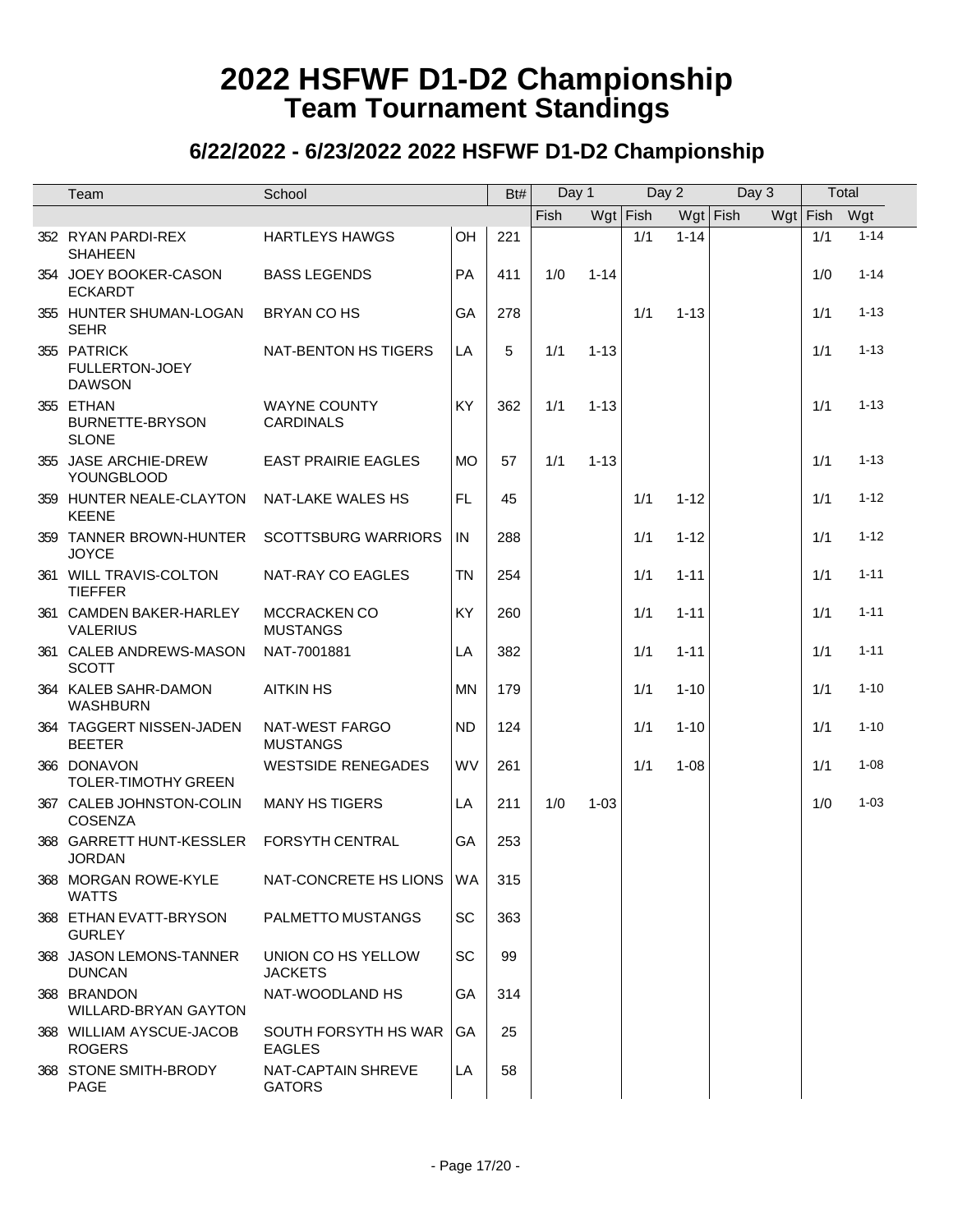| Team                                                  | School                                  |           | Bt# | Day 1 |          | Day 2      |            | Day 3 |            | Total |          |
|-------------------------------------------------------|-----------------------------------------|-----------|-----|-------|----------|------------|------------|-------|------------|-------|----------|
|                                                       |                                         |           |     | Fish  |          | $Wgt$ Fish | $Wgt$ Fish |       | $Wgt$ Fish |       | Wgt      |
| 352 RYAN PARDI-REX<br><b>SHAHEEN</b>                  | <b>HARTLEYS HAWGS</b>                   | OH        | 221 |       |          | 1/1        | $1 - 14$   |       |            | 1/1   | $1 - 14$ |
| 354 JOEY BOOKER-CASON<br><b>ECKARDT</b>               | <b>BASS LEGENDS</b>                     | <b>PA</b> | 411 | 1/0   | $1 - 14$ |            |            |       |            | 1/0   | $1 - 14$ |
| 355 HUNTER SHUMAN-LOGAN<br><b>SEHR</b>                | BRYAN CO HS                             | GA        | 278 |       |          | 1/1        | $1 - 13$   |       |            | 1/1   | $1 - 13$ |
| 355 PATRICK<br><b>FULLERTON-JOEY</b><br><b>DAWSON</b> | NAT-BENTON HS TIGERS                    | LA        | 5   | 1/1   | $1 - 13$ |            |            |       |            | 1/1   | $1 - 13$ |
| 355 ETHAN<br><b>BURNETTE-BRYSON</b><br><b>SLONE</b>   | <b>WAYNE COUNTY</b><br><b>CARDINALS</b> | KY        | 362 | 1/1   | $1 - 13$ |            |            |       |            | 1/1   | $1 - 13$ |
| 355 JASE ARCHIE-DREW<br><b>YOUNGBLOOD</b>             | <b>EAST PRAIRIE EAGLES</b>              | <b>MO</b> | 57  | 1/1   | $1 - 13$ |            |            |       |            | 1/1   | $1 - 13$ |
| 359 HUNTER NEALE-CLAYTON<br><b>KEENE</b>              | <b>NAT-LAKE WALES HS</b>                | <b>FL</b> | 45  |       |          | 1/1        | $1 - 12$   |       |            | 1/1   | $1 - 12$ |
| 359 TANNER BROWN-HUNTER<br><b>JOYCE</b>               | <b>SCOTTSBURG WARRIORS</b>              | IN        | 288 |       |          | 1/1        | $1 - 12$   |       |            | 1/1   | $1 - 12$ |
| 361 WILL TRAVIS-COLTON<br><b>TIEFFER</b>              | NAT-RAY CO EAGLES                       | <b>TN</b> | 254 |       |          | 1/1        | $1 - 11$   |       |            | 1/1   | $1 - 11$ |
| 361 CAMDEN BAKER-HARLEY<br><b>VALERIUS</b>            | MCCRACKEN CO<br><b>MUSTANGS</b>         | KY        | 260 |       |          | 1/1        | $1 - 11$   |       |            | 1/1   | $1 - 11$ |
| 361 CALEB ANDREWS-MASON<br><b>SCOTT</b>               | NAT-7001881                             | LA        | 382 |       |          | 1/1        | $1 - 11$   |       |            | 1/1   | $1 - 11$ |
| 364 KALEB SAHR-DAMON<br><b>WASHBURN</b>               | <b>AITKIN HS</b>                        | MN.       | 179 |       |          | 1/1        | $1 - 10$   |       |            | 1/1   | $1 - 10$ |
| 364 TAGGERT NISSEN-JADEN<br><b>BEETER</b>             | NAT-WEST FARGO<br><b>MUSTANGS</b>       | <b>ND</b> | 124 |       |          | 1/1        | $1 - 10$   |       |            | 1/1   | $1 - 10$ |
| 366 DONAVON<br><b>TOLER-TIMOTHY GREEN</b>             | <b>WESTSIDE RENEGADES</b>               | WV        | 261 |       |          | 1/1        | $1 - 08$   |       |            | 1/1   | $1 - 08$ |
| 367 CALEB JOHNSTON-COLIN<br><b>COSENZA</b>            | <b>MANY HS TIGERS</b>                   | LA        | 211 | 1/0   | $1 - 03$ |            |            |       |            | 1/0   | $1 - 03$ |
| 368 GARRETT HUNT-KESSLER<br><b>JORDAN</b>             | <b>FORSYTH CENTRAL</b>                  | GA        | 253 |       |          |            |            |       |            |       |          |
| 368 MORGAN ROWE-KYLE<br><b>WATTS</b>                  | NAT-CONCRETE HS LIONS WA                |           | 315 |       |          |            |            |       |            |       |          |
| 368 ETHAN EVATT-BRYSON<br><b>GURLEY</b>               | PALMETTO MUSTANGS                       | SC        | 363 |       |          |            |            |       |            |       |          |
| 368 JASON LEMONS-TANNER<br><b>DUNCAN</b>              | UNION CO HS YELLOW<br><b>JACKETS</b>    | SC        | 99  |       |          |            |            |       |            |       |          |
| 368 BRANDON<br>WILLARD-BRYAN GAYTON                   | NAT-WOODLAND HS                         | GA        | 314 |       |          |            |            |       |            |       |          |
| 368 WILLIAM AYSCUE-JACOB<br><b>ROGERS</b>             | SOUTH FORSYTH HS WAR<br><b>EAGLES</b>   | GA        | 25  |       |          |            |            |       |            |       |          |
| 368 STONE SMITH-BRODY<br>PAGE                         | NAT-CAPTAIN SHREVE<br><b>GATORS</b>     | LA        | 58  |       |          |            |            |       |            |       |          |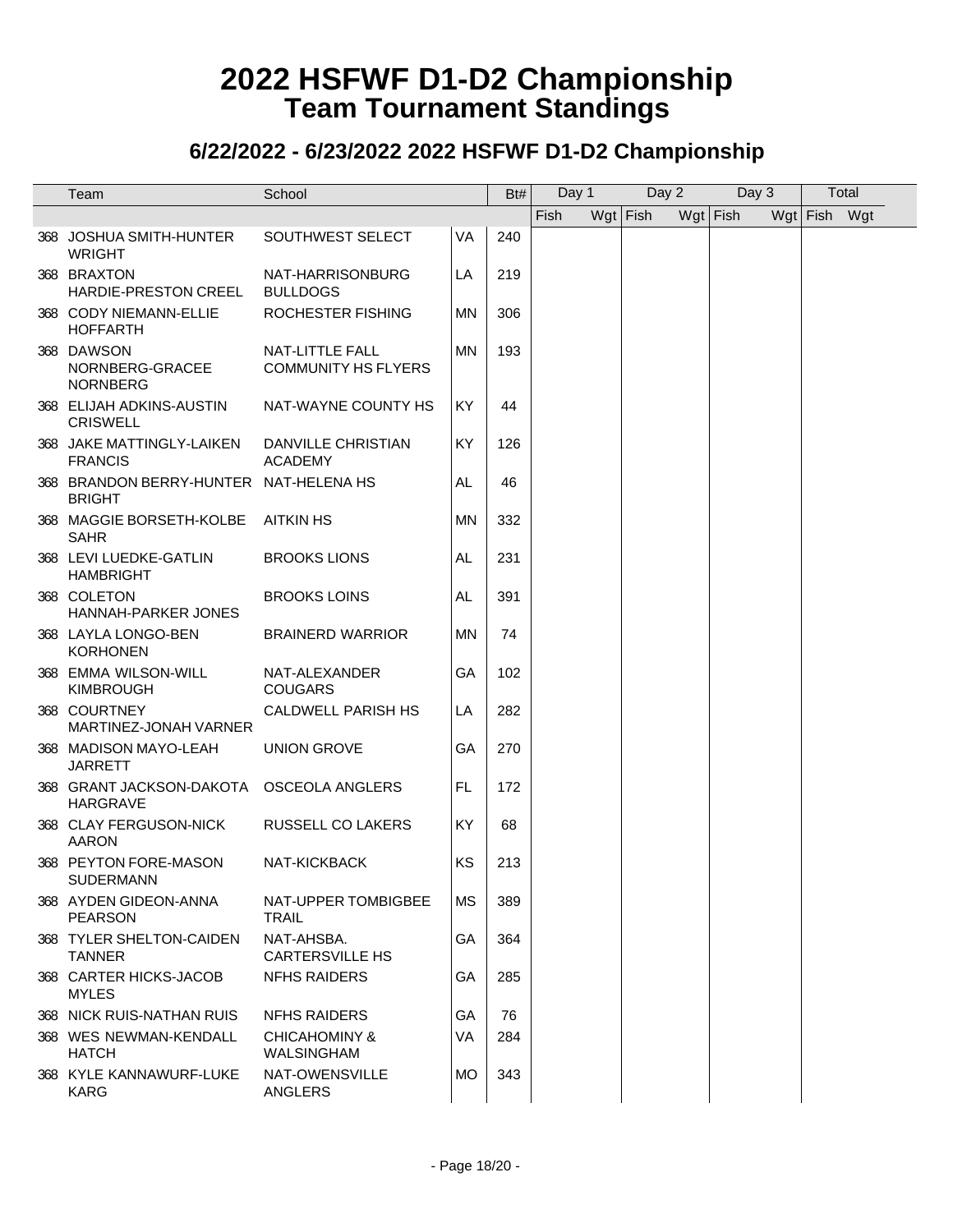| Team                                                        | School                                        |           | Bt# | Day 1 |            | Day 2 |            | Day 3 |              | Total |
|-------------------------------------------------------------|-----------------------------------------------|-----------|-----|-------|------------|-------|------------|-------|--------------|-------|
|                                                             |                                               |           |     | Fish  | $Wgt$ Fish |       | $Wgt$ Fish |       | Wgt Fish Wgt |       |
| 368 JOSHUA SMITH-HUNTER<br><b>WRIGHT</b>                    | SOUTHWEST SELECT                              | VA        | 240 |       |            |       |            |       |              |       |
| 368 BRAXTON<br><b>HARDIE-PRESTON CREEL</b>                  | NAT-HARRISONBURG<br><b>BULLDOGS</b>           | LA        | 219 |       |            |       |            |       |              |       |
| 368 CODY NIEMANN-ELLIE<br><b>HOFFARTH</b>                   | ROCHESTER FISHING                             | MN        | 306 |       |            |       |            |       |              |       |
| 368 DAWSON<br>NORNBERG-GRACEE<br><b>NORNBERG</b>            | NAT-LITTLE FALL<br><b>COMMUNITY HS FLYERS</b> | MN        | 193 |       |            |       |            |       |              |       |
| 368 ELIJAH ADKINS-AUSTIN<br><b>CRISWELL</b>                 | NAT-WAYNE COUNTY HS                           | KY        | 44  |       |            |       |            |       |              |       |
| 368 JAKE MATTINGLY-LAIKEN<br><b>FRANCIS</b>                 | DANVILLE CHRISTIAN<br><b>ACADEMY</b>          | KY        | 126 |       |            |       |            |       |              |       |
| 368 BRANDON BERRY-HUNTER NAT-HELENA HS<br><b>BRIGHT</b>     |                                               | AL        | 46  |       |            |       |            |       |              |       |
| 368 MAGGIE BORSETH-KOLBE<br><b>SAHR</b>                     | <b>AITKIN HS</b>                              | MN        | 332 |       |            |       |            |       |              |       |
| 368 LEVI LUEDKE-GATLIN<br><b>HAMBRIGHT</b>                  | <b>BROOKS LIONS</b>                           | AL        | 231 |       |            |       |            |       |              |       |
| 368 COLETON<br>HANNAH-PARKER JONES                          | <b>BROOKS LOINS</b>                           | AL        | 391 |       |            |       |            |       |              |       |
| 368 LAYLA LONGO-BEN<br><b>KORHONEN</b>                      | <b>BRAINERD WARRIOR</b>                       | MN        | 74  |       |            |       |            |       |              |       |
| 368 EMMA WILSON-WILL<br><b>KIMBROUGH</b>                    | NAT-ALEXANDER<br><b>COUGARS</b>               | GА        | 102 |       |            |       |            |       |              |       |
| 368 COURTNEY<br>MARTINEZ-JONAH VARNER                       | <b>CALDWELL PARISH HS</b>                     | LA        | 282 |       |            |       |            |       |              |       |
| 368 MADISON MAYO-LEAH<br><b>JARRETT</b>                     | <b>UNION GROVE</b>                            | GA        | 270 |       |            |       |            |       |              |       |
| 368 GRANT JACKSON-DAKOTA OSCEOLA ANGLERS<br><b>HARGRAVE</b> |                                               | FL        | 172 |       |            |       |            |       |              |       |
| 368 CLAY FERGUSON-NICK<br><b>AARON</b>                      | <b>RUSSELL CO LAKERS</b>                      | KY        | 68  |       |            |       |            |       |              |       |
| 368 PEYTON FORE-MASON<br><b>SUDERMANN</b>                   | NAT-KICKBACK                                  | KS        | 213 |       |            |       |            |       |              |       |
| 368 AYDEN GIDEON-ANNA<br><b>PEARSON</b>                     | NAT-UPPER TOMBIGBEE<br>TRAIL                  | МS        | 389 |       |            |       |            |       |              |       |
| 368 TYLER SHELTON-CAIDEN<br><b>TANNER</b>                   | NAT-AHSBA.<br><b>CARTERSVILLE HS</b>          | GA        | 364 |       |            |       |            |       |              |       |
| 368 CARTER HICKS-JACOB<br><b>MYLES</b>                      | <b>NFHS RAIDERS</b>                           | GA        | 285 |       |            |       |            |       |              |       |
| 368 NICK RUIS-NATHAN RUIS                                   | <b>NFHS RAIDERS</b>                           | GA        | 76  |       |            |       |            |       |              |       |
| 368 WES NEWMAN-KENDALL<br><b>HATCH</b>                      | CHICAHOMINY &<br><b>WALSINGHAM</b>            | VA        | 284 |       |            |       |            |       |              |       |
| 368 KYLE KANNAWURF-LUKE<br><b>KARG</b>                      | NAT-OWENSVILLE<br><b>ANGLERS</b>              | <b>MO</b> | 343 |       |            |       |            |       |              |       |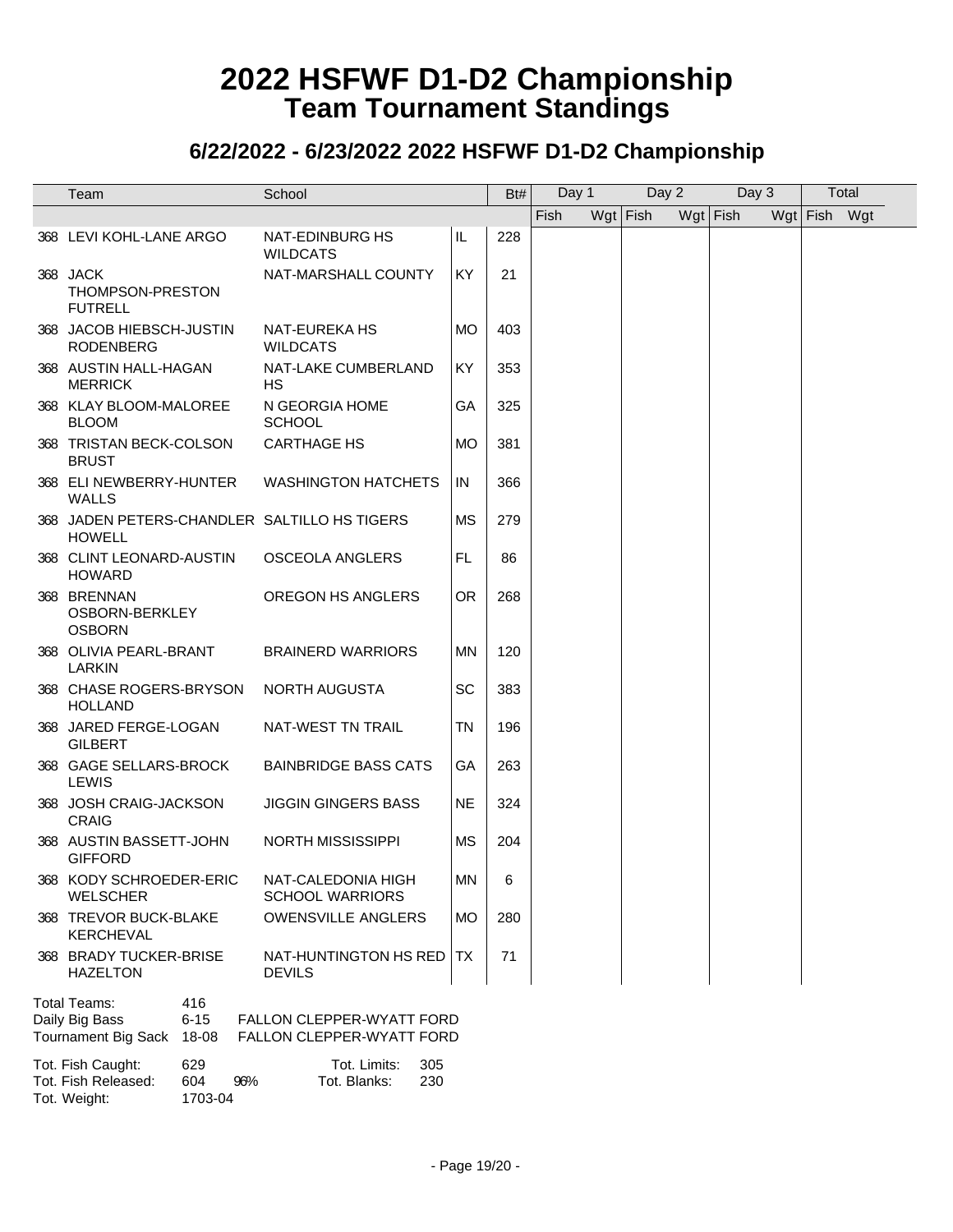#### **6/22/2022 - 6/23/2022 2022 HSFWF D1-D2 Championship**

|                                                                                |                                                                      |           |     | Day 1 |          | Day 2 |            | Day 3 |              | Total |  |
|--------------------------------------------------------------------------------|----------------------------------------------------------------------|-----------|-----|-------|----------|-------|------------|-------|--------------|-------|--|
| Team                                                                           | School                                                               |           | Bt# |       |          |       |            |       |              |       |  |
|                                                                                |                                                                      |           |     | Fish  | Wgt Fish |       | $Wgt$ Fish |       | Wgt Fish Wgt |       |  |
| 368 LEVI KOHL-LANE ARGO                                                        | NAT-EDINBURG HS<br><b>WILDCATS</b>                                   | IL        | 228 |       |          |       |            |       |              |       |  |
| 368 JACK<br>THOMPSON-PRESTON<br><b>FUTRELL</b>                                 | NAT-MARSHALL COUNTY                                                  | <b>KY</b> | 21  |       |          |       |            |       |              |       |  |
| 368 JACOB HIEBSCH-JUSTIN<br><b>RODENBERG</b>                                   | <b>NAT-EUREKA HS</b><br><b>WILDCATS</b>                              | MO        | 403 |       |          |       |            |       |              |       |  |
| 368 AUSTIN HALL-HAGAN<br><b>MERRICK</b>                                        | NAT-LAKE CUMBERLAND<br>НS                                            | KY        | 353 |       |          |       |            |       |              |       |  |
| 368 KLAY BLOOM-MALOREE<br><b>BLOOM</b>                                         | N GEORGIA HOME<br><b>SCHOOL</b>                                      | GA        | 325 |       |          |       |            |       |              |       |  |
| 368 TRISTAN BECK-COLSON<br><b>BRUST</b>                                        | <b>CARTHAGE HS</b>                                                   | MO        | 381 |       |          |       |            |       |              |       |  |
| 368 ELI NEWBERRY-HUNTER<br><b>WALLS</b>                                        | <b>WASHINGTON HATCHETS</b>                                           | IN        | 366 |       |          |       |            |       |              |       |  |
| 368 JADEN PETERS-CHANDLER SALTILLO HS TIGERS<br><b>HOWELL</b>                  |                                                                      | <b>MS</b> | 279 |       |          |       |            |       |              |       |  |
| 368 CLINT LEONARD-AUSTIN<br><b>HOWARD</b>                                      | <b>OSCEOLA ANGLERS</b>                                               | FL        | 86  |       |          |       |            |       |              |       |  |
| 368 BRENNAN<br>OSBORN-BERKLEY<br><b>OSBORN</b>                                 | OREGON HS ANGLERS                                                    | OR.       | 268 |       |          |       |            |       |              |       |  |
| 368 OLIVIA PEARL-BRANT<br><b>LARKIN</b>                                        | <b>BRAINERD WARRIORS</b>                                             | ΜN        | 120 |       |          |       |            |       |              |       |  |
| 368 CHASE ROGERS-BRYSON<br><b>HOLLAND</b>                                      | NORTH AUGUSTA                                                        | SC        | 383 |       |          |       |            |       |              |       |  |
| 368 JARED FERGE-LOGAN<br><b>GILBERT</b>                                        | NAT-WEST TN TRAIL                                                    | ΤN        | 196 |       |          |       |            |       |              |       |  |
| 368 GAGE SELLARS-BROCK<br>LEWIS                                                | <b>BAINBRIDGE BASS CATS</b>                                          | GA        | 263 |       |          |       |            |       |              |       |  |
| 368 JOSH CRAIG-JACKSON<br><b>CRAIG</b>                                         | <b>JIGGIN GINGERS BASS</b>                                           | <b>NE</b> | 324 |       |          |       |            |       |              |       |  |
| 368 AUSTIN BASSETT-JOHN<br><b>GIFFORD</b>                                      | <b>NORTH MISSISSIPPI</b>                                             | <b>MS</b> | 204 |       |          |       |            |       |              |       |  |
| 368 KODY SCHROEDER-ERIC<br><b>WELSCHER</b>                                     | NAT-CALEDONIA HIGH<br><b>SCHOOL WARRIORS</b>                         | ΜN        | 6   |       |          |       |            |       |              |       |  |
| 368 TREVOR BUCK-BLAKE<br>KERCHEVAL                                             | <b>OWENSVILLE ANGLERS</b>                                            | <b>MO</b> | 280 |       |          |       |            |       |              |       |  |
| 368 BRADY TUCKER-BRISE<br><b>HAZELTON</b>                                      | NAT-HUNTINGTON HS RED<br><b>DEVILS</b>                               | TX.       | 71  |       |          |       |            |       |              |       |  |
| Total Teams:<br>416<br>Daily Big Bass<br>$6 - 15$<br>Tournament Big Sack 18-08 | <b>FALLON CLEPPER-WYATT FORD</b><br><b>FALLON CLEPPER-WYATT FORD</b> |           |     |       |          |       |            |       |              |       |  |
| Tot. Fish Caught:<br>629<br>Tot. Fish Released:<br>604<br>96%                  | Tot. Limits:<br>305<br>Tot. Blanks:<br>230                           |           |     |       |          |       |            |       |              |       |  |

Tot. Weight: 1703-04